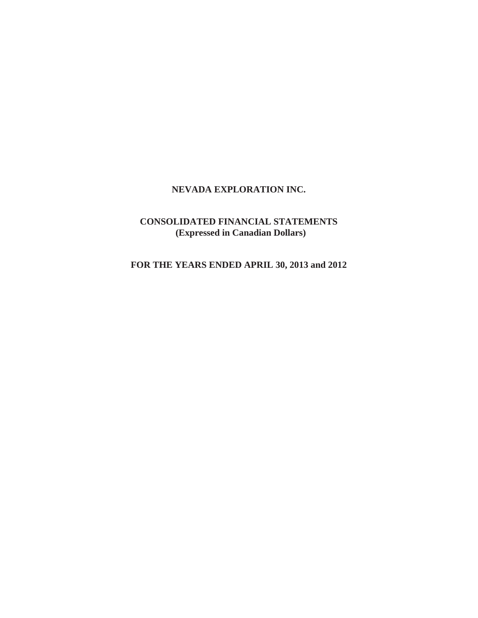# **NEVADA EXPLORATION INC.**

# **CONSOLIDATED FINANCIAL STATEMENTS (Expressed in Canadian Dollars)**

**FOR THE YEARS ENDED APRIL 30, 2013 and 2012**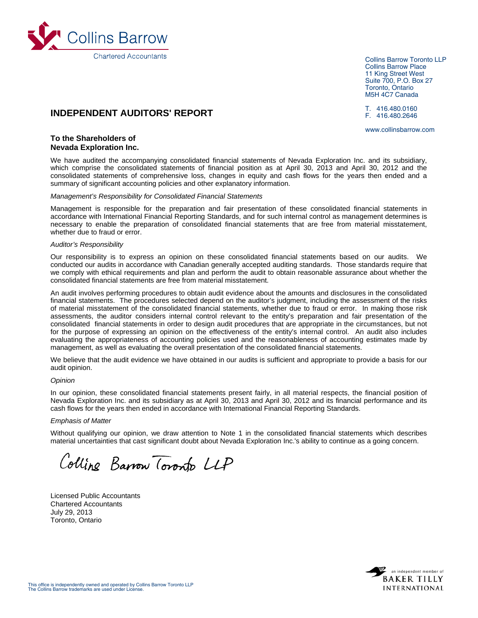

Collins Barrow Toronto LLP Collins Barrow Place 11 King Street West Suite 700, P.O. Box 27 Toronto, Ontario M5H 4C7 Canada

T. 416.480.0160 F. 416.480.2646

www.collinsbarrow.com

# **INDEPENDENT AUDITORS' REPORT**

# **To the Shareholders of Nevada Exploration Inc.**

We have audited the accompanying consolidated financial statements of Nevada Exploration Inc. and its subsidiary, which comprise the consolidated statements of financial position as at April 30, 2013 and April 30, 2012 and the consolidated statements of comprehensive loss, changes in equity and cash flows for the years then ended and a summary of significant accounting policies and other explanatory information.

#### *Management's Responsibility for Consolidated Financial Statements*

Management is responsible for the preparation and fair presentation of these consolidated financial statements in accordance with International Financial Reporting Standards, and for such internal control as management determines is necessary to enable the preparation of consolidated financial statements that are free from material misstatement, whether due to fraud or error.

#### *Auditor's Responsibility*

Our responsibility is to express an opinion on these consolidated financial statements based on our audits. We conducted our audits in accordance with Canadian generally accepted auditing standards. Those standards require that we comply with ethical requirements and plan and perform the audit to obtain reasonable assurance about whether the consolidated financial statements are free from material misstatement.

An audit involves performing procedures to obtain audit evidence about the amounts and disclosures in the consolidated financial statements. The procedures selected depend on the auditor's judgment, including the assessment of the risks of material misstatement of the consolidated financial statements, whether due to fraud or error. In making those risk assessments, the auditor considers internal control relevant to the entity's preparation and fair presentation of the consolidated financial statements in order to design audit procedures that are appropriate in the circumstances, but not for the purpose of expressing an opinion on the effectiveness of the entity's internal control. An audit also includes evaluating the appropriateness of accounting policies used and the reasonableness of accounting estimates made by management, as well as evaluating the overall presentation of the consolidated financial statements.

We believe that the audit evidence we have obtained in our audits is sufficient and appropriate to provide a basis for our audit opinion.

#### *Opinion*

In our opinion, these consolidated financial statements present fairly, in all material respects, the financial position of Nevada Exploration Inc. and its subsidiary as at April 30, 2013 and April 30, 2012 and its financial performance and its cash flows for the years then ended in accordance with International Financial Reporting Standards.

#### *Emphasis of Matter*

Without qualifying our opinion, we draw attention to Note 1 in the consolidated financial statements which describes material uncertainties that cast significant doubt about Nevada Exploration Inc.'s ability to continue as a going concern.

Colline Barrow Toronto LLP

Licensed Public Accountants Chartered Accountants July 29, 2013 Toronto, Ontario

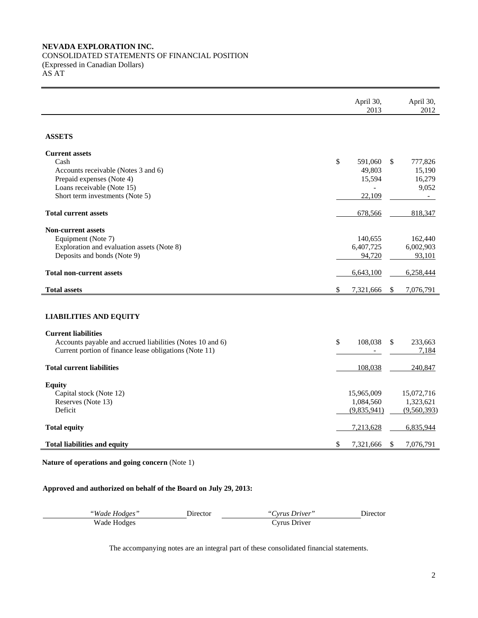# **NEVADA EXPLORATION INC.**

CONSOLIDATED STATEMENTS OF FINANCIAL POSITION (Expressed in Canadian Dollars) AS AT

|                                                                                                                                                                    | April 30,<br>2013                           | April 30,<br>2012                          |
|--------------------------------------------------------------------------------------------------------------------------------------------------------------------|---------------------------------------------|--------------------------------------------|
| <b>ASSETS</b>                                                                                                                                                      |                                             |                                            |
| <b>Current assets</b><br>Cash<br>Accounts receivable (Notes 3 and 6)<br>Prepaid expenses (Note 4)<br>Loans receivable (Note 15)<br>Short term investments (Note 5) | \$<br>591,060<br>49,803<br>15,594<br>22,109 | \$<br>777,826<br>15,190<br>16,279<br>9,052 |
| <b>Total current assets</b>                                                                                                                                        | 678,566                                     | 818,347                                    |
| <b>Non-current assets</b><br>Equipment (Note 7)<br>Exploration and evaluation assets (Note 8)<br>Deposits and bonds (Note 9)                                       | 140,655<br>6,407,725<br>94,720              | 162,440<br>6,002,903<br>93,101             |
| <b>Total non-current assets</b>                                                                                                                                    | 6,643,100                                   | 6,258,444                                  |
| <b>Total assets</b>                                                                                                                                                | \$<br>7,321,666                             | $\mathcal{S}$<br>7,076,791                 |
| <b>LIABILITIES AND EQUITY</b>                                                                                                                                      |                                             |                                            |
| <b>Current liabilities</b><br>Accounts payable and accrued liabilities (Notes 10 and 6)<br>Current portion of finance lease obligations (Note 11)                  | \$<br>108,038                               | 233,663<br>\$<br>7,184                     |
| <b>Total current liabilities</b>                                                                                                                                   | 108,038                                     | 240,847                                    |
| <b>Equity</b><br>Capital stock (Note 12)<br>Reserves (Note 13)<br>Deficit                                                                                          | 15,965,009<br>1,084,560<br>(9,835,941)      | 15,072,716<br>1,323,621<br>(9,560,393)     |
| <b>Total equity</b>                                                                                                                                                | 7,213,628                                   | 6,835,944                                  |
| <b>Total liabilities and equity</b>                                                                                                                                | \$<br>7,321,666                             | \$<br>7,076,791                            |

**Nature of operations and going concern** (Note 1)

# **Approved and authorized on behalf of the Board on July 29, 2013:**

| "Wade Hodges" | Director | "Cyrus Driver" | Director |
|---------------|----------|----------------|----------|
| Wade Hodges   |          | Cvrus Driver   |          |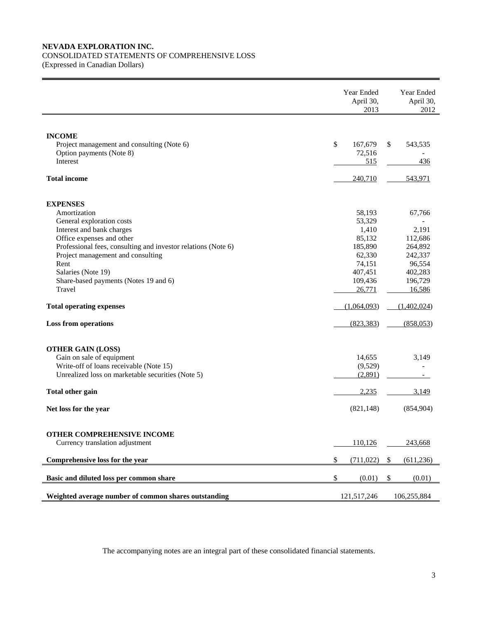# **NEVADA EXPLORATION INC.**

# CONSOLIDATED STATEMENTS OF COMPREHENSIVE LOSS

(Expressed in Canadian Dollars) 

|                                                               | Year Ended<br>April 30,<br>2013 |              | Year Ended<br>April 30,<br>2012 |
|---------------------------------------------------------------|---------------------------------|--------------|---------------------------------|
| <b>INCOME</b><br>Project management and consulting (Note 6)   | \$<br>167,679                   | $\mathbb{S}$ | 543,535                         |
| Option payments (Note 8)<br>Interest                          | 72,516<br>515                   |              | 436                             |
| <b>Total income</b>                                           | 240,710                         |              | 543,971                         |
| <b>EXPENSES</b>                                               |                                 |              |                                 |
| Amortization                                                  | 58,193                          |              | 67,766                          |
| General exploration costs<br>Interest and bank charges        | 53,329<br>1,410                 |              | 2,191                           |
| Office expenses and other                                     | 85,132                          |              | 112,686                         |
| Professional fees, consulting and investor relations (Note 6) | 185,890                         |              | 264,892                         |
| Project management and consulting                             | 62,330                          |              | 242,337                         |
| Rent                                                          | 74,151                          |              | 96,554                          |
| Salaries (Note 19)                                            | 407,451                         |              | 402,283                         |
| Share-based payments (Notes 19 and 6)                         | 109,436                         |              | 196,729                         |
| Travel                                                        | 26,771                          |              | 16,586                          |
| <b>Total operating expenses</b>                               | (1,064,093)                     |              | (1,402,024)                     |
| <b>Loss from operations</b>                                   | (823, 383)                      |              | (858, 053)                      |
| <b>OTHER GAIN (LOSS)</b>                                      |                                 |              |                                 |
| Gain on sale of equipment                                     | 14,655                          |              | 3,149                           |
| Write-off of loans receivable (Note 15)                       | (9,529)                         |              |                                 |
| Unrealized loss on marketable securities (Note 5)             | (2,891)                         |              |                                 |
| Total other gain                                              | 2,235                           |              | 3,149                           |
| Net loss for the year                                         | (821, 148)                      |              | (854,904)                       |
| OTHER COMPREHENSIVE INCOME                                    |                                 |              |                                 |
| Currency translation adjustment                               | 110,126                         |              | 243,668                         |
| Comprehensive loss for the year                               | \$<br>(711, 022)                | \$           | (611, 236)                      |
| Basic and diluted loss per common share                       | \$<br>(0.01)                    | \$           | (0.01)                          |
| Weighted average number of common shares outstanding          | 121,517,246                     |              | 106,255,884                     |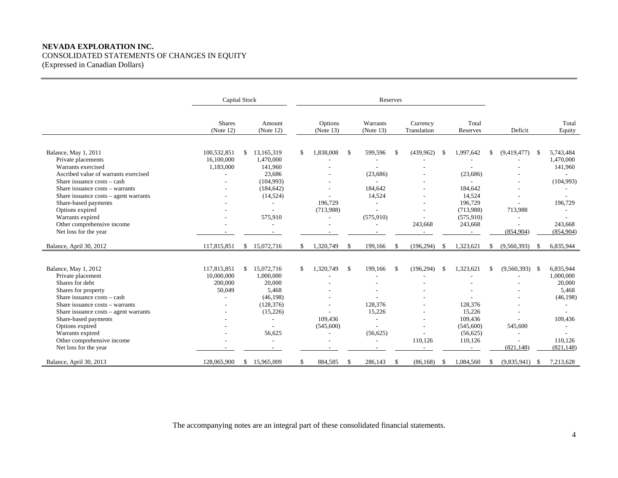# **NEVADA EXPLORATION INC.**  CONSOLIDATED STATEMENTS OF CHANGES IN EQUITY (Expressed in Canadian Dollars)

|                                                                                                                                                                                                                                                                                                                        | Capital Stock                                  |                                                                                                                                                 | Reserves |                                             |              |                                                                             |               |                                 |      |                                                                                |    |                                                                               |               |                                                                                            |
|------------------------------------------------------------------------------------------------------------------------------------------------------------------------------------------------------------------------------------------------------------------------------------------------------------------------|------------------------------------------------|-------------------------------------------------------------------------------------------------------------------------------------------------|----------|---------------------------------------------|--------------|-----------------------------------------------------------------------------|---------------|---------------------------------|------|--------------------------------------------------------------------------------|----|-------------------------------------------------------------------------------|---------------|--------------------------------------------------------------------------------------------|
|                                                                                                                                                                                                                                                                                                                        | <b>Shares</b><br>(Note 12)                     | Amount<br>(Note 12)                                                                                                                             |          | Options<br>(Note 13)                        |              | Warrants<br>(Note 13)                                                       |               | Currency<br>Translation         |      | Total<br>Reserves                                                              |    | Deficit                                                                       |               | Total<br>Equity                                                                            |
| Balance, May 1, 2011<br>Private placements<br>Warrants exercised<br>Ascribed value of warrants exercised<br>Share issuance costs - cash<br>Share issuance costs - warrants<br>Share issuance $costs - agent \, warrants$<br>Share-based payments                                                                       | 100,532,851<br>16,100,000<br>1,183,000<br>ä,   | \$<br>13,165,319<br>1,470,000<br>141,960<br>23,686<br>(104,993)<br>(184, 642)<br>(14, 524)                                                      | \$       | 1,838,008<br>196,729                        | -\$          | 599,596<br>(23, 686)<br>184,642<br>14,524<br>۰                              | $\mathbb{S}$  | (439,962)                       | - \$ | 1,997,642<br>(23, 686)<br>184,642<br>14,524<br>196,729                         | S. | (9,419,477)                                                                   | -S            | 5,743,484<br>1,470,000<br>141,960<br>(104,993)<br>196,729                                  |
| Options expired<br>Warrants expired<br>Other comprehensive income<br>Net loss for the year<br>Balance, April 30, 2012                                                                                                                                                                                                  | 117,815,851                                    | 575,910<br>$\overline{\phantom{a}}$<br>\$15,072,716                                                                                             | \$       | (713,988)<br>1,320,749                      | -S           | (575, 910)<br>÷,<br>199,166                                                 | $\mathbb{S}$  | 243,668<br>(196, 294)           | - \$ | (713,988)<br>(575, 910)<br>243,668<br>1,323,621                                | S. | 713,988<br>$\overline{a}$<br>$\overline{a}$<br>(854, 904)<br>(9,560,393)      | <sup>\$</sup> | 243,668<br>(854,904)<br>6,835,944                                                          |
|                                                                                                                                                                                                                                                                                                                        |                                                |                                                                                                                                                 |          |                                             |              |                                                                             |               |                                 |      |                                                                                |    |                                                                               |               |                                                                                            |
| Balance, May 1, 2012<br>Private placement<br>Shares for debt<br>Shares for property<br>Share issuance costs – cash<br>Share issuance costs – warrants<br>Share issuance $costs - agent warrants$<br>Share-based payments<br>Options expired<br>Warrants expired<br>Other comprehensive income<br>Net loss for the year | 117,815,851<br>10,000,000<br>200,000<br>50,049 | \$<br>15,072,716<br>1,000,000<br>20,000<br>5,468<br>(46, 198)<br>(128, 376)<br>(15,226)<br>$\overline{a}$<br>56,625<br>$\overline{\phantom{a}}$ | \$       | 1,320,749<br>$\sim$<br>109,436<br>(545,600) | -S           | 199,166<br>٠<br>128,376<br>15,226<br>٠<br>L,<br>(56, 625)<br>$\overline{a}$ | $\mathcal{S}$ | (196, 294)<br>$\sim$<br>110,126 | - \$ | 1,323,621<br>128,376<br>15,226<br>109,436<br>(545,600)<br>(56, 625)<br>110,126 | £. | $(9,560,393)$ \$<br>545,600<br>$\overline{a}$<br>$\overline{a}$<br>(821, 148) |               | 6,835,944<br>1,000,000<br>20,000<br>5,468<br>(46, 198)<br>109,436<br>110.126<br>(821, 148) |
| Balance, April 30, 2013                                                                                                                                                                                                                                                                                                | 128,065,900                                    | \$15,965,009                                                                                                                                    | \$       | 884,585                                     | $\mathbf{s}$ | 286,143                                                                     | $\mathbb{S}$  | (86, 168)                       | -S   | 1,084,560                                                                      | -S | $(9,835,941)$ \$                                                              |               | 7,213,628                                                                                  |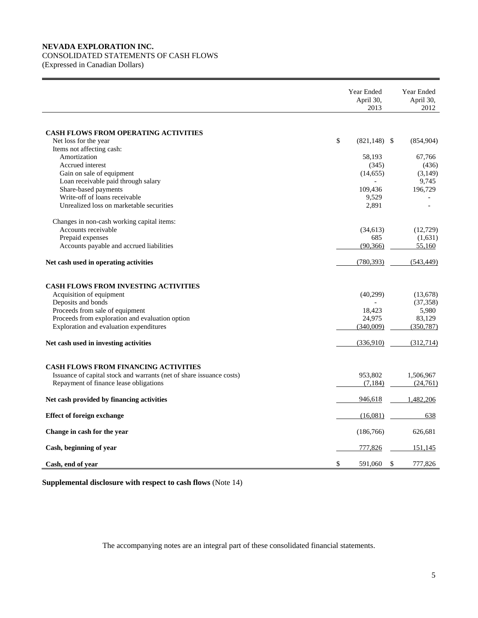### **NEVADA EXPLORATION INC.**

# CONSOLIDATED STATEMENTS OF CASH FLOWS

(Expressed in Canadian Dollars)

|                                                                                            | Year Ended<br>April 30,<br>2013 | Year Ended<br>April 30,<br>2012 |
|--------------------------------------------------------------------------------------------|---------------------------------|---------------------------------|
|                                                                                            |                                 |                                 |
| <b>CASH FLOWS FROM OPERATING ACTIVITIES</b>                                                |                                 |                                 |
| Net loss for the year                                                                      | \$<br>$(821,148)$ \$            | (854, 904)                      |
| Items not affecting cash:<br>Amortization                                                  | 58,193                          | 67,766                          |
| Accrued interest                                                                           | (345)                           | (436)                           |
| Gain on sale of equipment                                                                  | (14, 655)                       | (3,149)                         |
| Loan receivable paid through salary                                                        |                                 | 9,745                           |
| Share-based payments                                                                       | 109,436                         | 196,729                         |
| Write-off of loans receivable                                                              | 9,529                           |                                 |
| Unrealized loss on marketable securities                                                   | 2,891                           |                                 |
| Changes in non-cash working capital items:                                                 |                                 |                                 |
| Accounts receivable                                                                        | (34, 613)                       | (12,729)                        |
| Prepaid expenses                                                                           | 685                             | (1,631)                         |
| Accounts payable and accrued liabilities                                                   | (90, 366)                       | 55,160                          |
| Net cash used in operating activities                                                      | (780, 393)                      | (543, 449)                      |
| CASH FLOWS FROM INVESTING ACTIVITIES                                                       |                                 |                                 |
| Acquisition of equipment                                                                   | (40,299)                        | (13,678)                        |
| Deposits and bonds                                                                         | $\overline{a}$                  | (37, 358)                       |
| Proceeds from sale of equipment                                                            | 18,423                          | 5,980                           |
| Proceeds from exploration and evaluation option<br>Exploration and evaluation expenditures | 24.975<br>(340,009)             | 83.129<br>(350, 787)            |
|                                                                                            |                                 |                                 |
| Net cash used in investing activities                                                      | (336,910)                       | (312,714)                       |
| <b>CASH FLOWS FROM FINANCING ACTIVITIES</b>                                                |                                 |                                 |
| Issuance of capital stock and warrants (net of share issuance costs)                       | 953,802                         | 1,506,967                       |
| Repayment of finance lease obligations                                                     | (7, 184)                        | (24,761)                        |
| Net cash provided by financing activities                                                  | 946,618                         | 1,482,206                       |
| <b>Effect of foreign exchange</b>                                                          | (16,081)                        | 638                             |
| Change in cash for the year                                                                | (186, 766)                      | 626,681                         |
| Cash, beginning of year                                                                    | 777,826                         | 151,145                         |
| Cash, end of year                                                                          | \$<br>591,060                   | \$<br>777,826                   |

**Supplemental disclosure with respect to cash flows** (Note 14)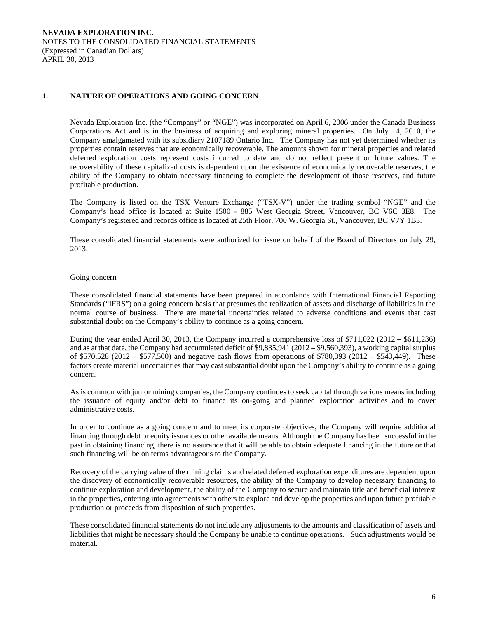### **1. NATURE OF OPERATIONS AND GOING CONCERN**

Nevada Exploration Inc. (the "Company" or "NGE") was incorporated on April 6, 2006 under the Canada Business Corporations Act and is in the business of acquiring and exploring mineral properties. On July 14, 2010, the Company amalgamated with its subsidiary 2107189 Ontario Inc. The Company has not yet determined whether its properties contain reserves that are economically recoverable. The amounts shown for mineral properties and related deferred exploration costs represent costs incurred to date and do not reflect present or future values. The recoverability of these capitalized costs is dependent upon the existence of economically recoverable reserves, the ability of the Company to obtain necessary financing to complete the development of those reserves, and future profitable production.

The Company is listed on the TSX Venture Exchange ("TSX-V") under the trading symbol "NGE" and the Company's head office is located at Suite 1500 - 885 West Georgia Street, Vancouver, BC V6C 3E8. The Company's registered and records office is located at 25th Floor, 700 W. Georgia St., Vancouver, BC V7Y 1B3.

These consolidated financial statements were authorized for issue on behalf of the Board of Directors on July 29, 2013.

#### Going concern

These consolidated financial statements have been prepared in accordance with International Financial Reporting Standards ("IFRS") on a going concern basis that presumes the realization of assets and discharge of liabilities in the normal course of business. There are material uncertainties related to adverse conditions and events that cast substantial doubt on the Company's ability to continue as a going concern.

During the year ended April 30, 2013, the Company incurred a comprehensive loss of \$711,022 (2012 – \$611,236) and as at that date, the Company had accumulated deficit of \$9,835,941 (2012 – \$9,560,393), a working capital surplus of \$570,528 (2012 – \$577,500) and negative cash flows from operations of \$780,393 (2012 – \$543,449). These factors create material uncertainties that may cast substantial doubt upon the Company's ability to continue as a going concern.

As is common with junior mining companies, the Company continues to seek capital through various means including the issuance of equity and/or debt to finance its on-going and planned exploration activities and to cover administrative costs.

In order to continue as a going concern and to meet its corporate objectives, the Company will require additional financing through debt or equity issuances or other available means. Although the Company has been successful in the past in obtaining financing, there is no assurance that it will be able to obtain adequate financing in the future or that such financing will be on terms advantageous to the Company.

 Recovery of the carrying value of the mining claims and related deferred exploration expenditures are dependent upon the discovery of economically recoverable resources, the ability of the Company to develop necessary financing to continue exploration and development, the ability of the Company to secure and maintain title and beneficial interest in the properties, entering into agreements with others to explore and develop the properties and upon future profitable production or proceeds from disposition of such properties.

 These consolidated financial statements do not include any adjustments to the amounts and classification of assets and liabilities that might be necessary should the Company be unable to continue operations. Such adjustments would be material.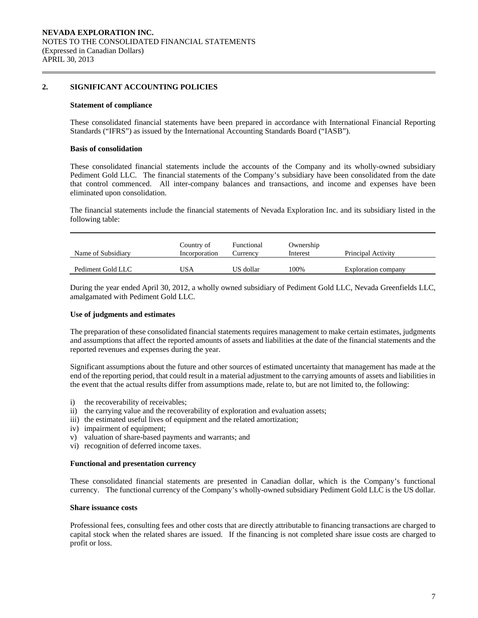### **2. SIGNIFICANT ACCOUNTING POLICIES**

#### **Statement of compliance**

 These consolidated financial statements have been prepared in accordance with International Financial Reporting Standards ("IFRS") as issued by the International Accounting Standards Board ("IASB").

#### **Basis of consolidation**

 These consolidated financial statements include the accounts of the Company and its wholly-owned subsidiary Pediment Gold LLC. The financial statements of the Company's subsidiary have been consolidated from the date that control commenced. All inter-company balances and transactions, and income and expenses have been eliminated upon consolidation.

The financial statements include the financial statements of Nevada Exploration Inc. and its subsidiary listed in the following table:

| Name of Subsidiary | Country of<br>Incorporation | Functional<br>Currency | Ownership<br>Interest | Principal Activity  |
|--------------------|-----------------------------|------------------------|-----------------------|---------------------|
| Pediment Gold LLC  | JSA                         | US dollar              | 100%                  | Exploration company |

During the year ended April 30, 2012, a wholly owned subsidiary of Pediment Gold LLC, Nevada Greenfields LLC, amalgamated with Pediment Gold LLC.

#### **Use of judgments and estimates**

The preparation of these consolidated financial statements requires management to make certain estimates, judgments and assumptions that affect the reported amounts of assets and liabilities at the date of the financial statements and the reported revenues and expenses during the year.

 Significant assumptions about the future and other sources of estimated uncertainty that management has made at the end of the reporting period, that could result in a material adjustment to the carrying amounts of assets and liabilities in the event that the actual results differ from assumptions made, relate to, but are not limited to, the following:

- i) the recoverability of receivables;
- ii) the carrying value and the recoverability of exploration and evaluation assets;
- iii) the estimated useful lives of equipment and the related amortization;
- iv) impairment of equipment;
- v) valuation of share-based payments and warrants; and
- vi) recognition of deferred income taxes.

#### **Functional and presentation currency**

These consolidated financial statements are presented in Canadian dollar, which is the Company's functional currency. The functional currency of the Company's wholly-owned subsidiary Pediment Gold LLC is the US dollar.

#### **Share issuance costs**

 Professional fees, consulting fees and other costs that are directly attributable to financing transactions are charged to capital stock when the related shares are issued. If the financing is not completed share issue costs are charged to profit or loss.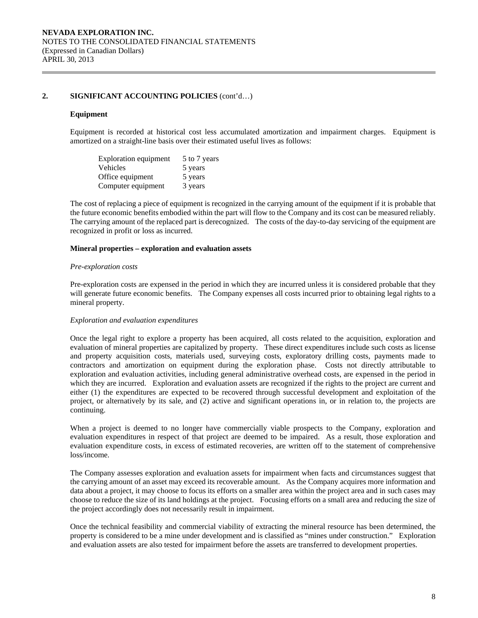#### **Equipment**

Equipment is recorded at historical cost less accumulated amortization and impairment charges. Equipment is amortized on a straight-line basis over their estimated useful lives as follows:

| <b>Exploration equipment</b> | 5 to 7 years |
|------------------------------|--------------|
| Vehicles                     | 5 years      |
| Office equipment             | 5 years      |
| Computer equipment           | 3 years      |

The cost of replacing a piece of equipment is recognized in the carrying amount of the equipment if it is probable that the future economic benefits embodied within the part will flow to the Company and its cost can be measured reliably. The carrying amount of the replaced part is derecognized. The costs of the day-to-day servicing of the equipment are recognized in profit or loss as incurred.

### **Mineral properties – exploration and evaluation assets**

#### *Pre-exploration costs*

 Pre-exploration costs are expensed in the period in which they are incurred unless it is considered probable that they will generate future economic benefits. The Company expenses all costs incurred prior to obtaining legal rights to a mineral property.

#### *Exploration and evaluation expenditures*

 Once the legal right to explore a property has been acquired, all costs related to the acquisition, exploration and evaluation of mineral properties are capitalized by property. These direct expenditures include such costs as license and property acquisition costs, materials used, surveying costs, exploratory drilling costs, payments made to contractors and amortization on equipment during the exploration phase. Costs not directly attributable to exploration and evaluation activities, including general administrative overhead costs, are expensed in the period in which they are incurred. Exploration and evaluation assets are recognized if the rights to the project are current and either (1) the expenditures are expected to be recovered through successful development and exploitation of the project, or alternatively by its sale, and (2) active and significant operations in, or in relation to, the projects are continuing.

 When a project is deemed to no longer have commercially viable prospects to the Company, exploration and evaluation expenditures in respect of that project are deemed to be impaired. As a result, those exploration and evaluation expenditure costs, in excess of estimated recoveries, are written off to the statement of comprehensive loss/income.

 The Company assesses exploration and evaluation assets for impairment when facts and circumstances suggest that the carrying amount of an asset may exceed its recoverable amount. As the Company acquires more information and data about a project, it may choose to focus its efforts on a smaller area within the project area and in such cases may choose to reduce the size of its land holdings at the project. Focusing efforts on a small area and reducing the size of the project accordingly does not necessarily result in impairment.

 Once the technical feasibility and commercial viability of extracting the mineral resource has been determined, the property is considered to be a mine under development and is classified as "mines under construction." Exploration and evaluation assets are also tested for impairment before the assets are transferred to development properties.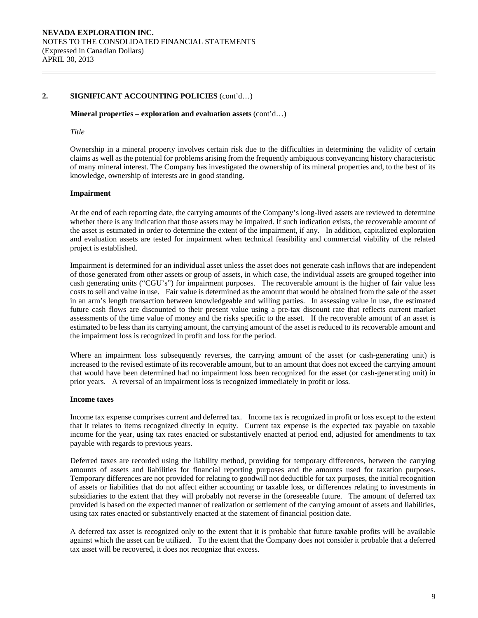### **Mineral properties – exploration and evaluation assets** (cont'd…)

#### *Title*

Ownership in a mineral property involves certain risk due to the difficulties in determining the validity of certain claims as well as the potential for problems arising from the frequently ambiguous conveyancing history characteristic of many mineral interest. The Company has investigated the ownership of its mineral properties and, to the best of its knowledge, ownership of interests are in good standing.

#### **Impairment**

At the end of each reporting date, the carrying amounts of the Company's long-lived assets are reviewed to determine whether there is any indication that those assets may be impaired. If such indication exists, the recoverable amount of the asset is estimated in order to determine the extent of the impairment, if any. In addition, capitalized exploration and evaluation assets are tested for impairment when technical feasibility and commercial viability of the related project is established.

Impairment is determined for an individual asset unless the asset does not generate cash inflows that are independent of those generated from other assets or group of assets, in which case, the individual assets are grouped together into cash generating units ("CGU's") for impairment purposes. The recoverable amount is the higher of fair value less costs to sell and value in use. Fair value is determined as the amount that would be obtained from the sale of the asset in an arm's length transaction between knowledgeable and willing parties. In assessing value in use, the estimated future cash flows are discounted to their present value using a pre-tax discount rate that reflects current market assessments of the time value of money and the risks specific to the asset. If the recoverable amount of an asset is estimated to be less than its carrying amount, the carrying amount of the asset is reduced to its recoverable amount and the impairment loss is recognized in profit and loss for the period.

Where an impairment loss subsequently reverses, the carrying amount of the asset (or cash-generating unit) is increased to the revised estimate of its recoverable amount, but to an amount that does not exceed the carrying amount that would have been determined had no impairment loss been recognized for the asset (or cash-generating unit) in prior years. A reversal of an impairment loss is recognized immediately in profit or loss.

#### **Income taxes**

Income tax expense comprises current and deferred tax. Income tax is recognized in profit or loss except to the extent that it relates to items recognized directly in equity. Current tax expense is the expected tax payable on taxable income for the year, using tax rates enacted or substantively enacted at period end, adjusted for amendments to tax payable with regards to previous years.

Deferred taxes are recorded using the liability method, providing for temporary differences, between the carrying amounts of assets and liabilities for financial reporting purposes and the amounts used for taxation purposes. Temporary differences are not provided for relating to goodwill not deductible for tax purposes, the initial recognition of assets or liabilities that do not affect either accounting or taxable loss, or differences relating to investments in subsidiaries to the extent that they will probably not reverse in the foreseeable future. The amount of deferred tax provided is based on the expected manner of realization or settlement of the carrying amount of assets and liabilities, using tax rates enacted or substantively enacted at the statement of financial position date.

A deferred tax asset is recognized only to the extent that it is probable that future taxable profits will be available against which the asset can be utilized. To the extent that the Company does not consider it probable that a deferred tax asset will be recovered, it does not recognize that excess.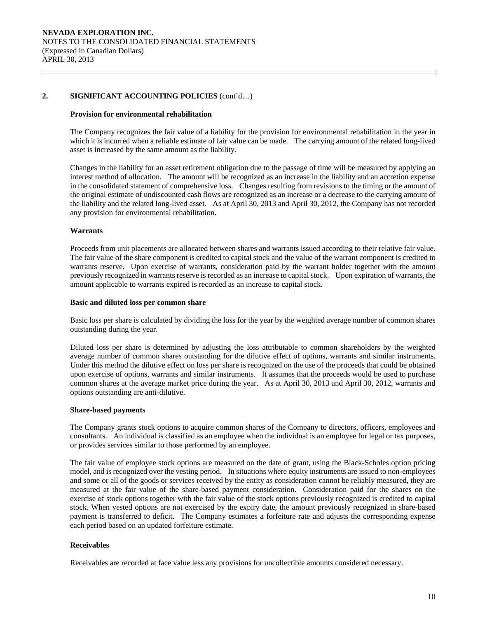#### **Provision for environmental rehabilitation**

The Company recognizes the fair value of a liability for the provision for environmental rehabilitation in the year in which it is incurred when a reliable estimate of fair value can be made. The carrying amount of the related long-lived asset is increased by the same amount as the liability.

Changes in the liability for an asset retirement obligation due to the passage of time will be measured by applying an interest method of allocation. The amount will be recognized as an increase in the liability and an accretion expense in the consolidated statement of comprehensive loss. Changes resulting from revisions to the timing or the amount of the original estimate of undiscounted cash flows are recognized as an increase or a decrease to the carrying amount of the liability and the related long-lived asset. As at April 30, 2013 and April 30, 2012, the Company has not recorded any provision for environmental rehabilitation.

#### **Warrants**

Proceeds from unit placements are allocated between shares and warrants issued according to their relative fair value. The fair value of the share component is credited to capital stock and the value of the warrant component is credited to warrants reserve. Upon exercise of warrants, consideration paid by the warrant holder together with the amount previously recognized in warrants reserve is recorded as an increase to capital stock. Upon expiration of warrants, the amount applicable to warrants expired is recorded as an increase to capital stock.

#### **Basic and diluted loss per common share**

Basic loss per share is calculated by dividing the loss for the year by the weighted average number of common shares outstanding during the year.

 Diluted loss per share is determined by adjusting the loss attributable to common shareholders by the weighted average number of common shares outstanding for the dilutive effect of options, warrants and similar instruments. Under this method the dilutive effect on loss per share is recognized on the use of the proceeds that could be obtained upon exercise of options, warrants and similar instruments. It assumes that the proceeds would be used to purchase common shares at the average market price during the year. As at April 30, 2013 and April 30, 2012, warrants and options outstanding are anti-dilutive.

#### **Share-based payments**

The Company grants stock options to acquire common shares of the Company to directors, officers, employees and consultants. An individual is classified as an employee when the individual is an employee for legal or tax purposes, or provides services similar to those performed by an employee.

The fair value of employee stock options are measured on the date of grant, using the Black-Scholes option pricing model, and is recognized over the vesting period. In situations where equity instruments are issued to non-employees and some or all of the goods or services received by the entity as consideration cannot be reliably measured, they are measured at the fair value of the share-based payment consideration. Consideration paid for the shares on the exercise of stock options together with the fair value of the stock options previously recognized is credited to capital stock. When vested options are not exercised by the expiry date, the amount previously recognized in share-based payment is transferred to deficit. The Company estimates a forfeiture rate and adjusts the corresponding expense each period based on an updated forfeiture estimate.

# **Receivables**

Receivables are recorded at face value less any provisions for uncollectible amounts considered necessary.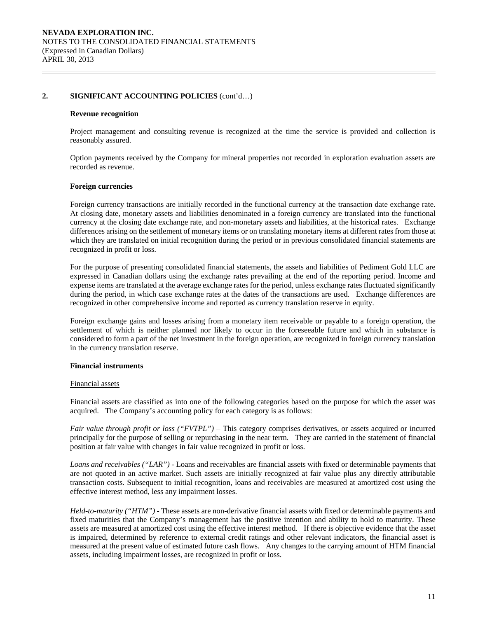#### **Revenue recognition**

Project management and consulting revenue is recognized at the time the service is provided and collection is reasonably assured.

Option payments received by the Company for mineral properties not recorded in exploration evaluation assets are recorded as revenue.

#### **Foreign currencies**

 Foreign currency transactions are initially recorded in the functional currency at the transaction date exchange rate. At closing date, monetary assets and liabilities denominated in a foreign currency are translated into the functional currency at the closing date exchange rate, and non-monetary assets and liabilities, at the historical rates. Exchange differences arising on the settlement of monetary items or on translating monetary items at different rates from those at which they are translated on initial recognition during the period or in previous consolidated financial statements are recognized in profit or loss.

For the purpose of presenting consolidated financial statements, the assets and liabilities of Pediment Gold LLC are expressed in Canadian dollars using the exchange rates prevailing at the end of the reporting period. Income and expense items are translated at the average exchange rates for the period, unless exchange rates fluctuated significantly during the period, in which case exchange rates at the dates of the transactions are used. Exchange differences are recognized in other comprehensive income and reported as currency translation reserve in equity.

 Foreign exchange gains and losses arising from a monetary item receivable or payable to a foreign operation, the settlement of which is neither planned nor likely to occur in the foreseeable future and which in substance is considered to form a part of the net investment in the foreign operation, are recognized in foreign currency translation in the currency translation reserve.

#### **Financial instruments**

#### Financial assets

Financial assets are classified as into one of the following categories based on the purpose for which the asset was acquired. The Company's accounting policy for each category is as follows:

*Fair value through profit or loss ("FVTPL")* – This category comprises derivatives, or assets acquired or incurred principally for the purpose of selling or repurchasing in the near term. They are carried in the statement of financial position at fair value with changes in fair value recognized in profit or loss.

*Loans and receivables ("LAR") -* Loans and receivables are financial assets with fixed or determinable payments that are not quoted in an active market. Such assets are initially recognized at fair value plus any directly attributable transaction costs. Subsequent to initial recognition, loans and receivables are measured at amortized cost using the effective interest method, less any impairment losses.

*Held-to-maturity ("HTM") -* These assets are non-derivative financial assets with fixed or determinable payments and fixed maturities that the Company's management has the positive intention and ability to hold to maturity. These assets are measured at amortized cost using the effective interest method. If there is objective evidence that the asset is impaired, determined by reference to external credit ratings and other relevant indicators, the financial asset is measured at the present value of estimated future cash flows. Any changes to the carrying amount of HTM financial assets, including impairment losses, are recognized in profit or loss.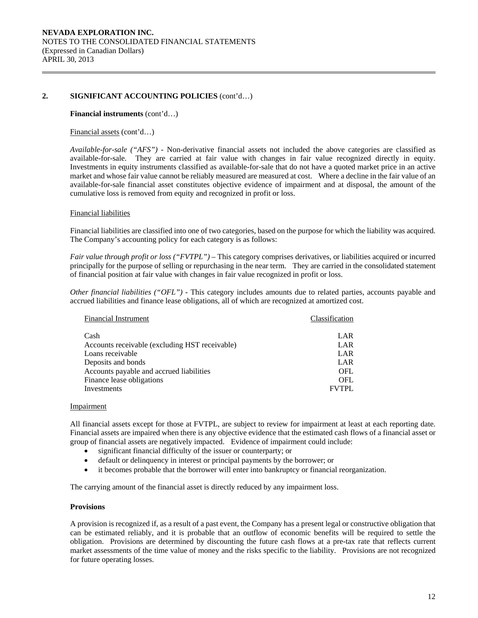#### **Financial instruments** (cont'd…)

#### Financial assets (cont'd…)

*Available-for-sale ("AFS") -* Non-derivative financial assets not included the above categories are classified as available-for-sale. They are carried at fair value with changes in fair value recognized directly in equity. Investments in equity instruments classified as available-for-sale that do not have a quoted market price in an active market and whose fair value cannot be reliably measured are measured at cost. Where a decline in the fair value of an available-for-sale financial asset constitutes objective evidence of impairment and at disposal, the amount of the cumulative loss is removed from equity and recognized in profit or loss.

#### Financial liabilities

Financial liabilities are classified into one of two categories, based on the purpose for which the liability was acquired. The Company's accounting policy for each category is as follows:

*Fair value through profit or loss ("FVTPL")* – This category comprises derivatives, or liabilities acquired or incurred principally for the purpose of selling or repurchasing in the near term. They are carried in the consolidated statement of financial position at fair value with changes in fair value recognized in profit or loss.

*Other financial liabilities ("OFL") -* This category includes amounts due to related parties, accounts payable and accrued liabilities and finance lease obligations, all of which are recognized at amortized cost.

| <b>Financial Instrument</b>                    | Classification |
|------------------------------------------------|----------------|
| Cash                                           | LAR            |
| Accounts receivable (excluding HST receivable) | LAR            |
| Loans receivable                               | LAR            |
| Deposits and bonds                             | LAR            |
| Accounts payable and accrued liabilities       | <b>OFL</b>     |
| Finance lease obligations                      | <b>OFL</b>     |
| Investments                                    | <b>FVTPL</b>   |

#### Impairment

All financial assets except for those at FVTPL, are subject to review for impairment at least at each reporting date. Financial assets are impaired when there is any objective evidence that the estimated cash flows of a financial asset or group of financial assets are negatively impacted. Evidence of impairment could include:

- significant financial difficulty of the issuer or counterparty; or
- default or delinquency in interest or principal payments by the borrower; or
- it becomes probable that the borrower will enter into bankruptcy or financial reorganization.

The carrying amount of the financial asset is directly reduced by any impairment loss.

#### **Provisions**

A provision is recognized if, as a result of a past event, the Company has a present legal or constructive obligation that can be estimated reliably, and it is probable that an outflow of economic benefits will be required to settle the obligation. Provisions are determined by discounting the future cash flows at a pre-tax rate that reflects current market assessments of the time value of money and the risks specific to the liability. Provisions are not recognized for future operating losses.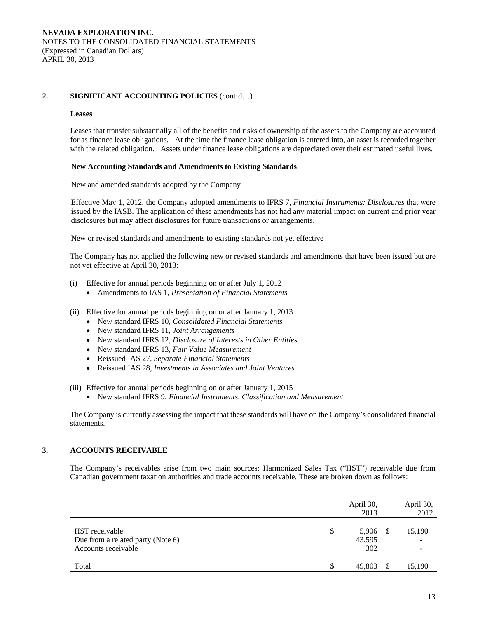#### **Leases**

Leases that transfer substantially all of the benefits and risks of ownership of the assets to the Company are accounted for as finance lease obligations. At the time the finance lease obligation is entered into, an asset is recorded together with the related obligation. Assets under finance lease obligations are depreciated over their estimated useful lives.

#### **New Accounting Standards and Amendments to Existing Standards**

#### New and amended standards adopted by the Company

 Effective May 1, 2012, the Company adopted amendments to IFRS 7, *Financial Instruments: Disclosures* that were issued by the IASB. The application of these amendments has not had any material impact on current and prior year disclosures but may affect disclosures for future transactions or arrangements.

#### New or revised standards and amendments to existing standards not yet effective

 The Company has not applied the following new or revised standards and amendments that have been issued but are not yet effective at April 30, 2013:

- (i) Effective for annual periods beginning on or after July 1, 2012
	- Amendments to IAS 1, *Presentation of Financial Statements*
- (ii) Effective for annual periods beginning on or after January 1, 2013
	- New standard IFRS 10, *Consolidated Financial Statements*
	- New standard IFRS 11, *Joint Arrangements*
	- New standard IFRS 12, *Disclosure of Interests in Other Entities*
	- New standard IFRS 13, *Fair Value Measurement*
	- Reissued IAS 27, *Separate Financial Statements*
	- Reissued IAS 28, *Investments in Associates and Joint Ventures*

(iii) Effective for annual periods beginning on or after January 1, 2015

New standard IFRS 9, *Financial Instruments, Classification and Measurement*

The Company is currently assessing the impact that these standards will have on the Company's consolidated financial statements.

# **3. ACCOUNTS RECEIVABLE**

The Company's receivables arise from two main sources: Harmonized Sales Tax ("HST") receivable due from Canadian government taxation authorities and trade accounts receivable. These are broken down as follows:

|                                                                            | April 30,<br>2013            |     | April 30,<br>2012 |
|----------------------------------------------------------------------------|------------------------------|-----|-------------------|
| HST receivable<br>Due from a related party (Note 6)<br>Accounts receivable | \$<br>5,906<br>43,595<br>302 | - S | 15,190            |
| Total                                                                      | 49.803                       |     | 15,190            |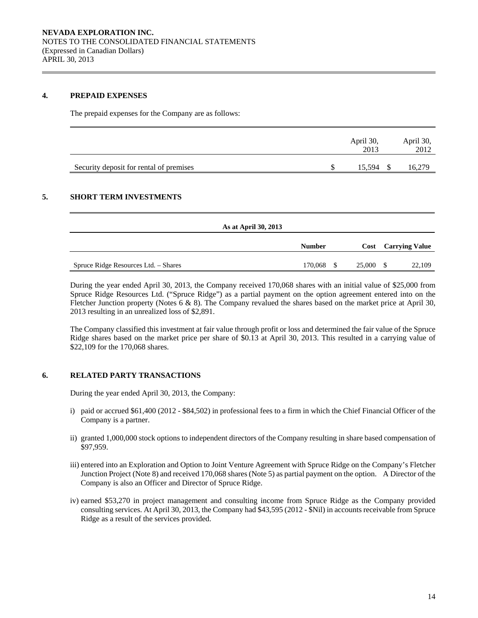### **4. PREPAID EXPENSES**

The prepaid expenses for the Company are as follows:

|                                         | April 30,<br>2013 | April 30,<br>2012 |
|-----------------------------------------|-------------------|-------------------|
| Security deposit for rental of premises | 15.594            |                   |

# **5. SHORT TERM INVESTMENTS**

| As at April 30, 2013                 |               |               |        |                            |
|--------------------------------------|---------------|---------------|--------|----------------------------|
|                                      | <b>Number</b> |               |        | <b>Cost Carrying Value</b> |
| Spruce Ridge Resources Ltd. - Shares | 170,068       | <sup>\$</sup> | 25,000 | 22,109                     |

During the year ended April 30, 2013, the Company received 170,068 shares with an initial value of \$25,000 from Spruce Ridge Resources Ltd. ("Spruce Ridge") as a partial payment on the option agreement entered into on the Fletcher Junction property (Notes 6 & 8). The Company revalued the shares based on the market price at April 30, 2013 resulting in an unrealized loss of \$2,891.

The Company classified this investment at fair value through profit or loss and determined the fair value of the Spruce Ridge shares based on the market price per share of \$0.13 at April 30, 2013. This resulted in a carrying value of \$22,109 for the 170,068 shares.

# **6. RELATED PARTY TRANSACTIONS**

During the year ended April 30, 2013, the Company:

- i) paid or accrued \$61,400 (2012 \$84,502) in professional fees to a firm in which the Chief Financial Officer of the Company is a partner.
- ii) granted 1,000,000 stock options to independent directors of the Company resulting in share based compensation of \$97,959.
- iii) entered into an Exploration and Option to Joint Venture Agreement with Spruce Ridge on the Company's Fletcher Junction Project (Note 8) and received 170,068 shares (Note 5) as partial payment on the option. A Director of the Company is also an Officer and Director of Spruce Ridge.
- iv) earned \$53,270 in project management and consulting income from Spruce Ridge as the Company provided consulting services. At April 30, 2013, the Company had \$43,595 (2012 - \$Nil) in accounts receivable from Spruce Ridge as a result of the services provided.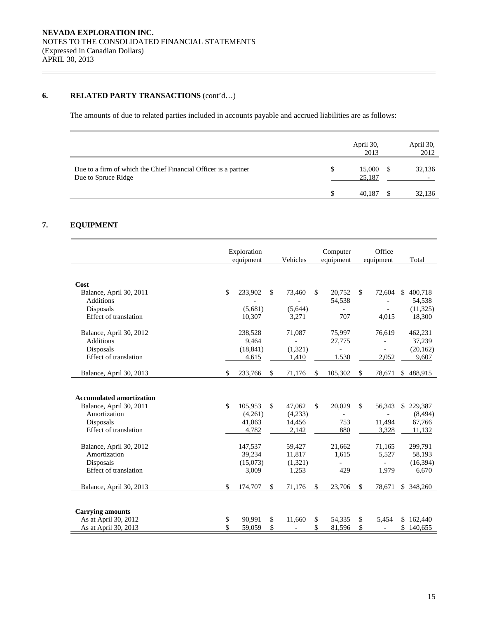# **6. RELATED PARTY TRANSACTIONS** (cont'd...)

The amounts of due to related parties included in accounts payable and accrued liabilities are as follows:

|                                                                                        |   | April 30,<br>2013 | April 30,<br>2012 |
|----------------------------------------------------------------------------------------|---|-------------------|-------------------|
| Due to a firm of which the Chief Financial Officer is a partner<br>Due to Spruce Ridge | S | 15,000<br>25,187  | 32,136            |
|                                                                                        |   | 40.187            | 32,136            |

# **7. EQUIPMENT**

|                                 | Exploration<br>equipment |           |    | Vehicles | Computer<br>equipment |                          | Office<br>equipment |                          | Total |            |
|---------------------------------|--------------------------|-----------|----|----------|-----------------------|--------------------------|---------------------|--------------------------|-------|------------|
|                                 |                          |           |    |          |                       |                          |                     |                          |       |            |
| Cost                            |                          |           |    |          |                       |                          |                     |                          |       |            |
| Balance, April 30, 2011         | \$                       | 233,902   | \$ | 73,460   | \$.                   | 20,752                   | \$                  | 72,604                   | \$.   | 400,718    |
| <b>Additions</b>                |                          |           |    |          |                       | 54,538                   |                     |                          |       | 54,538     |
| Disposals                       |                          | (5,681)   |    | (5,644)  |                       |                          |                     |                          |       | (11, 325)  |
| <b>Effect of translation</b>    |                          | 10,307    |    | 3,271    |                       | 707                      |                     | 4.015                    |       | 18,300     |
|                                 |                          |           |    |          |                       |                          |                     |                          |       |            |
| Balance, April 30, 2012         |                          | 238,528   |    | 71,087   |                       | 75,997                   |                     | 76,619                   |       | 462,231    |
| <b>Additions</b>                |                          | 9,464     |    |          |                       | 27,775                   |                     |                          |       | 37,239     |
| Disposals                       |                          | (18, 841) |    | (1,321)  |                       | $\overline{\phantom{0}}$ |                     |                          |       | (20, 162)  |
| Effect of translation           |                          | 4,615     |    | 1,410    |                       | 1,530                    |                     | 2,052                    |       | 9,607      |
|                                 |                          |           |    |          |                       |                          |                     |                          |       |            |
| Balance, April 30, 2013         | \$                       | 233,766   | \$ | 71,176   | \$                    | 105,302                  | \$                  | 78,671                   |       | \$488,915  |
|                                 |                          |           |    |          |                       |                          |                     |                          |       |            |
|                                 |                          |           |    |          |                       |                          |                     |                          |       |            |
| <b>Accumulated amortization</b> |                          |           |    |          |                       |                          |                     |                          |       |            |
| Balance, April 30, 2011         | \$                       | 105,953   | \$ | 47,062   | \$                    | 20,029                   | $\mathbb{S}$        | 56,343                   | \$.   | 229,387    |
| Amortization                    |                          | (4,261)   |    | (4,233)  |                       | $\overline{a}$           |                     |                          |       | (8, 494)   |
| Disposals                       |                          | 41,063    |    | 14,456   |                       | 753                      |                     | 11,494                   |       | 67,766     |
| Effect of translation           |                          | 4,782     |    | 2,142    |                       | 880                      |                     | 3,328                    |       | 11,132     |
|                                 |                          |           |    |          |                       |                          |                     |                          |       |            |
| Balance, April 30, 2012         |                          | 147,537   |    | 59,427   |                       | 21,662                   |                     | 71,165                   |       | 299,791    |
| Amortization                    |                          | 39,234    |    | 11,817   |                       | 1,615                    |                     | 5,527                    |       | 58,193     |
| Disposals                       |                          | (15,073)  |    | (1,321)  |                       | $\overline{a}$           |                     | $\overline{\phantom{0}}$ |       | (16, 394)  |
| Effect of translation           |                          | 3,009     |    | 1,253    |                       | 429                      |                     | 1.979                    |       | 6,670      |
|                                 |                          |           |    |          |                       |                          |                     |                          |       |            |
| Balance, April 30, 2013         | \$                       | 174,707   | \$ | 71,176   | \$                    | 23,706                   | \$                  | 78,671                   |       | \$ 348,260 |
|                                 |                          |           |    |          |                       |                          |                     |                          |       |            |
|                                 |                          |           |    |          |                       |                          |                     |                          |       |            |
| <b>Carrying amounts</b>         |                          |           |    |          |                       |                          |                     |                          |       |            |
| As at April 30, 2012            | \$                       | 90,991    | \$ | 11,660   | \$                    | 54,335                   | \$                  | 5,454                    |       | \$162,440  |
| As at April 30, 2013            | \$                       | 59,059    | \$ |          | \$                    | 81,596                   | \$                  | $\overline{\phantom{a}}$ | \$    | 140,655    |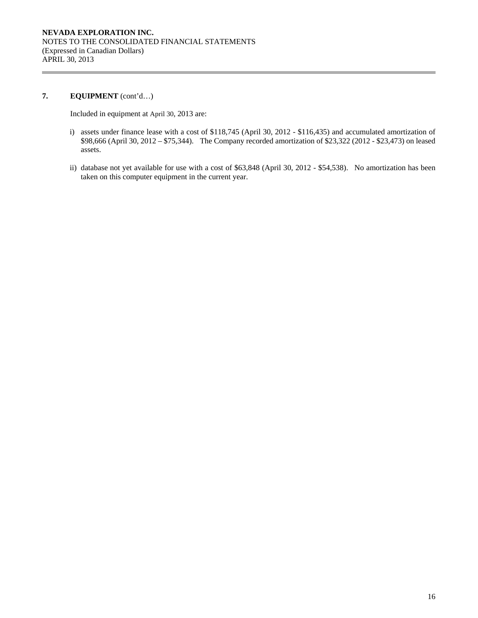# **7. EQUIPMENT** (cont'd…)

Included in equipment at April 30, 2013 are:

- i) assets under finance lease with a cost of \$118,745 (April 30, 2012 \$116,435) and accumulated amortization of \$98,666 (April 30, 2012 – \$75,344). The Company recorded amortization of \$23,322 (2012 - \$23,473) on leased assets.
- ii) database not yet available for use with a cost of \$63,848 (April 30, 2012 \$54,538). No amortization has been taken on this computer equipment in the current year.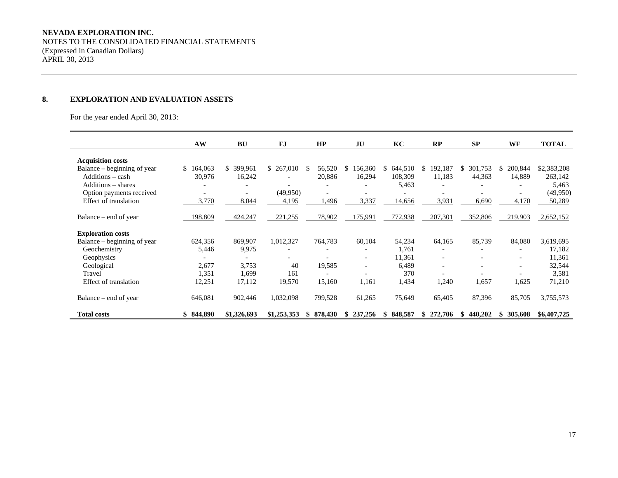NOTES TO THE CONSOLIDATED FINANCIAL STATEMENTS (Expressed in Canadian Dollars) APRIL 30, 2013

# **8. EXPLORATION AND EVALUATION ASSETS**

For the year ended April 30, 2013:

|                             | AW            | BU                           | FJ                       | HP            | JU            | KC             | RP                       | <b>SP</b>    | WF            | <b>TOTAL</b> |
|-----------------------------|---------------|------------------------------|--------------------------|---------------|---------------|----------------|--------------------------|--------------|---------------|--------------|
| <b>Acquisition costs</b>    |               |                              |                          |               |               |                |                          |              |               |              |
| Balance – beginning of year | 164,063<br>\$ | 399,961<br>\$.               | \$267,010                | 56,520<br>\$. | 156,360<br>S. | 644,510<br>SS. | 192,187<br>S             | 301,753<br>S | 200,844<br>S. | \$2,383,208  |
| Additions - cash            | 30,976        | 16,242                       | $\overline{\phantom{0}}$ | 20,886        | 16,294        | 108,309        | 11,183                   | 44,363       | 14,889        | 263,142      |
| Additions – shares          |               |                              |                          |               |               | 5,463          | $\overline{a}$           |              |               | 5,463        |
| Option payments received    |               | $\qquad \qquad \blacksquare$ | (49,950)                 |               |               |                |                          |              |               | (49,950)     |
| Effect of translation       | 3,770         | 8,044                        | 4,195                    | .496          | 3,337         | 14,656         | 3,931                    | 6,690        | 4,170         | 50,289       |
| Balance – end of year       | 198,809       | 424,247                      | 221,255                  | 78,902        | 175,991       | 772,938        | 207,301                  | 352,806      | 219,903       | 2,652,152    |
| <b>Exploration costs</b>    |               |                              |                          |               |               |                |                          |              |               |              |
| Balance – beginning of year | 624,356       | 869,907                      | 1,012,327                | 764,783       | 60,104        | 54,234         | 64,165                   | 85,739       | 84,080        | 3,619,695    |
| Geochemistry                | 5,446         | 9,975                        |                          |               |               | 1,761          | $\overline{\phantom{a}}$ |              |               | 17,182       |
| Geophysics                  |               |                              |                          |               |               | 11,361         | $\overline{\phantom{a}}$ |              |               | 11,361       |
| Geological                  | 2,677         | 3,753                        | 40                       | 19,585        |               | 6,489          | $\overline{\phantom{a}}$ |              |               | 32,544       |
| Travel                      | 1,351         | 1,699                        | 161                      |               |               | 370            |                          |              |               | 3,581        |
| Effect of translation       | 12,251        | 17,112                       | 19,570                   | 15,160        | 1,161         | ,434           | .240                     | 1,657        | 1,625         | 71,210       |
| Balance – end of year       | 646,081       | 902,446                      | 1,032,098                | 799,528       | 61,265        | 75,649         | 65,405                   | 87,396       | 85,705        | 3,755,573    |
| <b>Total costs</b>          | \$844,890     | \$1,326,693                  | \$1,253,353              | 878,430<br>S  | 237,256<br>S  | 848,587<br>SS. | 272,706                  | 440,202<br>S | 305,608<br>S. | \$6,407,725  |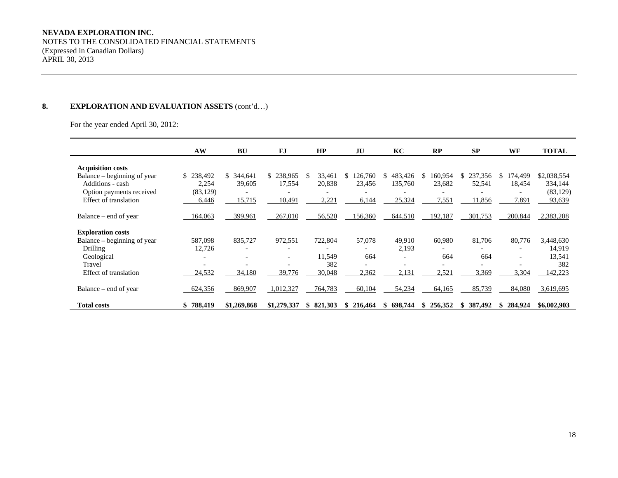#### **NEVADA EXPLORATION INC.**

NOTES TO THE CONSOLIDATED FINANCIAL STATEMENTS (Expressed in Canadian Dollars) APRIL 30, 2013

# 8. **EXPLORATION AND EVALUATION ASSETS** (cont'd...)

For the year ended April 30, 2012:

|                             | AW        | <b>BU</b>                | <b>FJ</b>                | HP             | JU                       | KC                       | RP                       | SP                       | WF                       | <b>TOTAL</b> |
|-----------------------------|-----------|--------------------------|--------------------------|----------------|--------------------------|--------------------------|--------------------------|--------------------------|--------------------------|--------------|
| <b>Acquisition costs</b>    |           |                          |                          |                |                          |                          |                          |                          |                          |              |
| Balance – beginning of year | \$238,492 | \$<br>344,641            | \$238,965                | \$.<br>33,461  | 126,760                  | 483,426<br>S.            | 160,954<br>\$.           | 237,356                  | 174,499<br>S             | \$2,038,554  |
| Additions - cash            | 2,254     | 39,605                   | 17,554                   | 20,838         | 23.456                   | 135,760                  | 23,682                   | 52,541                   | 18,454                   | 334,144      |
| Option payments received    | (83, 129) |                          |                          |                |                          |                          |                          |                          |                          | (83, 129)    |
|                             |           |                          |                          |                |                          |                          |                          |                          |                          |              |
| Effect of translation       | 6,446     | 15,715                   | 10,491                   | 2,221          | 6,144                    | 25,324                   | 7,551                    | 1,856                    | 7,891                    | 93,639       |
| Balance – end of year       | 164,063   | 399,961                  | 267,010                  | 56,520         | 156,360                  | 644,510                  | 192,187                  | 301,753                  | 200,844                  | 2,383,208    |
| <b>Exploration costs</b>    |           |                          |                          |                |                          |                          |                          |                          |                          |              |
| Balance – beginning of year | 587,098   | 835,727                  | 972,551                  | 722,804        | 57,078                   | 49,910                   | 60,980                   | 81,706                   | 80,776                   | 3,448,630    |
| Drilling                    | 12,726    | $\overline{\phantom{a}}$ |                          |                |                          | 2,193                    |                          |                          | $\overline{\phantom{a}}$ | 14,919       |
| Geological                  |           |                          | $\overline{\phantom{a}}$ | 11,549         | 664                      | $\overline{\phantom{a}}$ | 664                      | 664                      | $\overline{\phantom{a}}$ | 13,541       |
| Travel                      | -         |                          |                          | 382            | $\overline{\phantom{0}}$ | $\overline{\phantom{a}}$ | $\overline{\phantom{0}}$ | $\overline{\phantom{0}}$ | $\overline{a}$           | 382          |
| Effect of translation       | 24,532    | 34,180                   | 39,776                   | 30,048         | 2,362                    | 2,131                    | 2,521                    | 3,369                    | 3,304                    | 142,223      |
|                             |           |                          |                          |                |                          |                          |                          |                          |                          |              |
| Balance – end of year       | 624,356   | 869,907                  | 1,012,327                | 764,783        | 60,104                   | 54,234                   | 64,165                   | 85,739                   | 84,080                   | 3,619,695    |
| <b>Total costs</b>          | 788,419   | \$1,269,868              | \$1,279,337              | 821,303<br>SS. | 216,464                  | 698.744<br>S             | 256,352<br>\$            | 387,492                  | 284,924                  | \$6,002,903  |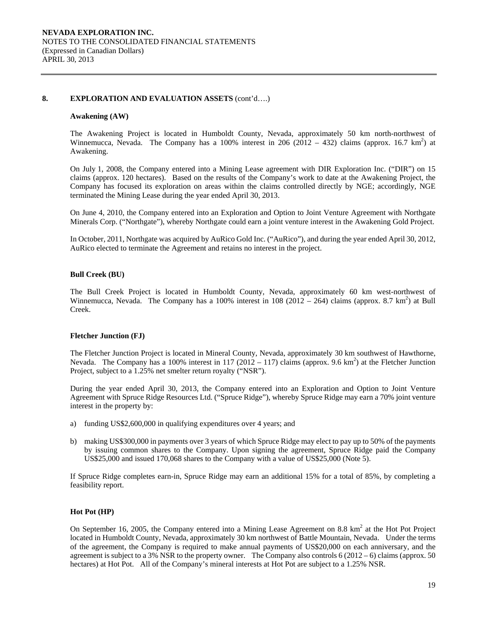### **8. EXPLORATION AND EVALUATION ASSETS** (cont'd….)

#### **Awakening (AW)**

The Awakening Project is located in Humboldt County, Nevada, approximately 50 km north-northwest of Winnemucca, Nevada. The Company has a 100% interest in 206 (2012 – 432) claims (approx. 16.7 km<sup>2</sup>) at Awakening.

On July 1, 2008, the Company entered into a Mining Lease agreement with DIR Exploration Inc. ("DIR") on 15 claims (approx. 120 hectares). Based on the results of the Company's work to date at the Awakening Project, the Company has focused its exploration on areas within the claims controlled directly by NGE; accordingly, NGE terminated the Mining Lease during the year ended April 30, 2013.

On June 4, 2010, the Company entered into an Exploration and Option to Joint Venture Agreement with Northgate Minerals Corp. ("Northgate"), whereby Northgate could earn a joint venture interest in the Awakening Gold Project.

In October, 2011, Northgate was acquired by AuRico Gold Inc. ("AuRico"), and during the year ended April 30, 2012, AuRico elected to terminate the Agreement and retains no interest in the project.

#### **Bull Creek (BU)**

The Bull Creek Project is located in Humboldt County, Nevada, approximately 60 km west-northwest of Winnemucca, Nevada. The Company has a 100% interest in  $108(2012 - 264)$  claims (approx. 8.7 km<sup>2</sup>) at Bull Creek.

#### **Fletcher Junction (FJ)**

The Fletcher Junction Project is located in Mineral County, Nevada, approximately 30 km southwest of Hawthorne, Nevada. The Company has a 100% interest in 117 (2012 – 117) claims (approx. 9.6 km<sup>2</sup>) at the Fletcher Junction Project, subject to a 1.25% net smelter return royalty ("NSR").

During the year ended April 30, 2013, the Company entered into an Exploration and Option to Joint Venture Agreement with Spruce Ridge Resources Ltd. ("Spruce Ridge"), whereby Spruce Ridge may earn a 70% joint venture interest in the property by:

- a) funding US\$2,600,000 in qualifying expenditures over 4 years; and
- b) making US\$300,000 in payments over 3 years of which Spruce Ridge may elect to pay up to 50% of the payments by issuing common shares to the Company. Upon signing the agreement, Spruce Ridge paid the Company US\$25,000 and issued 170,068 shares to the Company with a value of US\$25,000 (Note 5).

If Spruce Ridge completes earn-in, Spruce Ridge may earn an additional 15% for a total of 85%, by completing a feasibility report.

#### **Hot Pot (HP)**

On September 16, 2005, the Company entered into a Mining Lease Agreement on 8.8  $km^2$  at the Hot Project located in Humboldt County, Nevada, approximately 30 km northwest of Battle Mountain, Nevada. Under the terms of the agreement, the Company is required to make annual payments of US\$20,000 on each anniversary, and the agreement is subject to a 3% NSR to the property owner. The Company also controls  $6(2012-6)$  claims (approx. 50) hectares) at Hot Pot. All of the Company's mineral interests at Hot Pot are subject to a 1.25% NSR.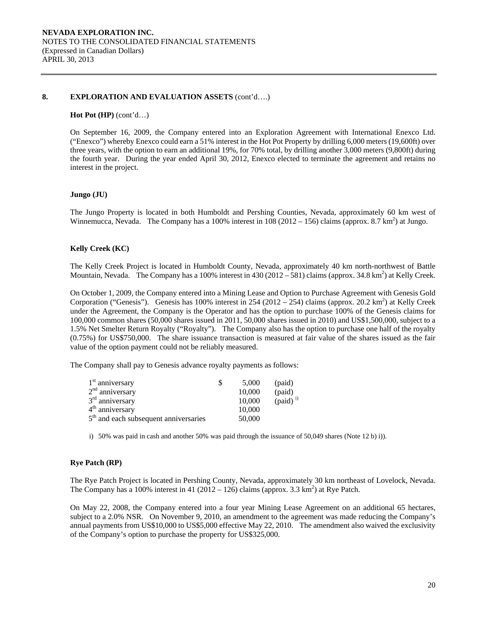### **8. EXPLORATION AND EVALUATION ASSETS** (cont'd….)

#### **Hot Pot (HP)** (cont'd…)

On September 16, 2009, the Company entered into an Exploration Agreement with International Enexco Ltd. ("Enexco") whereby Enexco could earn a 51% interest in the Hot Pot Property by drilling 6,000 meters (19,600ft) over three years, with the option to earn an additional 19%, for 70% total, by drilling another 3,000 meters (9,800ft) during the fourth year. During the year ended April 30, 2012, Enexco elected to terminate the agreement and retains no interest in the project.

#### **Jungo (JU)**

The Jungo Property is located in both Humboldt and Pershing Counties, Nevada, approximately 60 km west of Winnemucca, Nevada. The Company has a 100% interest in  $108(2012 - 156)$  claims (approx. 8.7 km<sup>2</sup>) at Jungo.

### **Kelly Creek (KC)**

The Kelly Creek Project is located in Humboldt County, Nevada, approximately 40 km north-northwest of Battle Mountain, Nevada. The Company has a 100% interest in  $430(2012 - 581)$  claims (approx. 34.8 km<sup>2</sup>) at Kelly Creek.

On October 1, 2009, the Company entered into a Mining Lease and Option to Purchase Agreement with Genesis Gold Corporation ("Genesis"). Genesis has 100% interest in 254 (2012 – 254) claims (approx. 20.2 km<sup>2</sup>) at Kelly Creek under the Agreement, the Company is the Operator and has the option to purchase 100% of the Genesis claims for 100,000 common shares (50,000 shares issued in 2011, 50,000 shares issued in 2010) and US\$1,500,000, subject to a 1.5% Net Smelter Return Royalty ("Royalty"). The Company also has the option to purchase one half of the royalty (0.75%) for US\$750,000. The share issuance transaction is measured at fair value of the shares issued as the fair value of the option payment could not be reliably measured.

The Company shall pay to Genesis advance royalty payments as follows:

| $1st$ anniversary                       | 5.000  | (paid)               |
|-----------------------------------------|--------|----------------------|
| $2nd$ anniversary                       | 10,000 | (paid)               |
| 3 <sup>rd</sup> anniversary             | 10,000 | (paid) <sup>i)</sup> |
| 4 <sup>th</sup> anniversary             | 10,000 |                      |
| $5th$ and each subsequent anniversaries | 50,000 |                      |

i) 50% was paid in cash and another 50% was paid through the issuance of 50,049 shares (Note 12 b) i)).

# **Rye Patch (RP)**

The Rye Patch Project is located in Pershing County, Nevada, approximately 30 km northeast of Lovelock, Nevada. The Company has a 100% interest in 41 (2012 – 126) claims (approx. 3.3 km<sup>2</sup>) at Rye Patch.

On May 22, 2008, the Company entered into a four year Mining Lease Agreement on an additional 65 hectares, subject to a 2.0% NSR. On November 9, 2010, an amendment to the agreement was made reducing the Company's annual payments from US\$10,000 to US\$5,000 effective May 22, 2010. The amendment also waived the exclusivity of the Company's option to purchase the property for US\$325,000.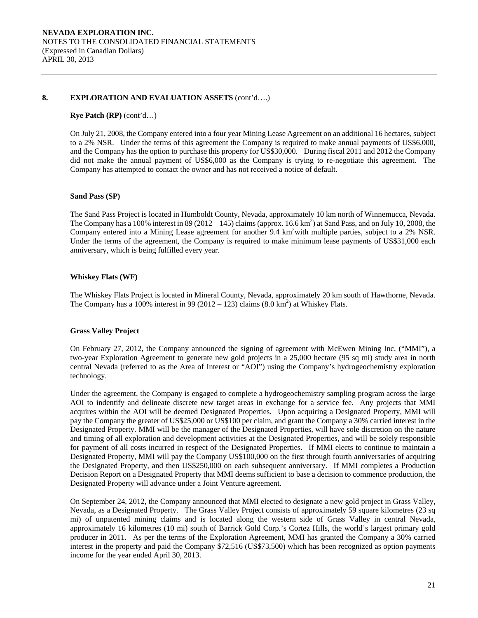### **8. EXPLORATION AND EVALUATION ASSETS** (cont'd….)

#### **Rye Patch (RP)** (cont'd…)

On July 21, 2008, the Company entered into a four year Mining Lease Agreement on an additional 16 hectares, subject to a 2% NSR. Under the terms of this agreement the Company is required to make annual payments of US\$6,000, and the Company has the option to purchase this property for US\$30,000. During fiscal 2011 and 2012 the Company did not make the annual payment of US\$6,000 as the Company is trying to re-negotiate this agreement. The Company has attempted to contact the owner and has not received a notice of default.

### **Sand Pass (SP)**

The Sand Pass Project is located in Humboldt County, Nevada, approximately 10 km north of Winnemucca, Nevada. The Company has a 100% interest in 89 (2012 – 145) claims (approx. 16.6  $km^2$ ) at Sand Pass, and on July 10, 2008, the Company entered into a Mining Lease agreement for another 9.4 km<sup>2</sup> with multiple parties, subject to a 2% NSR. Under the terms of the agreement, the Company is required to make minimum lease payments of US\$31,000 each anniversary, which is being fulfilled every year.

# **Whiskey Flats (WF)**

The Whiskey Flats Project is located in Mineral County, Nevada, approximately 20 km south of Hawthorne, Nevada. The Company has a 100% interest in 99 (2012 – 123) claims  $(8.0 \text{ km}^2)$  at Whiskey Flats.

# **Grass Valley Project**

On February 27, 2012, the Company announced the signing of agreement with McEwen Mining Inc, ("MMI"), a two-year Exploration Agreement to generate new gold projects in a 25,000 hectare (95 sq mi) study area in north central Nevada (referred to as the Area of Interest or "AOI") using the Company's hydrogeochemistry exploration technology.

Under the agreement, the Company is engaged to complete a hydrogeochemistry sampling program across the large AOI to indentify and delineate discrete new target areas in exchange for a service fee. Any projects that MMI acquires within the AOI will be deemed Designated Properties. Upon acquiring a Designated Property, MMI will pay the Company the greater of US\$25,000 or US\$100 per claim, and grant the Company a 30% carried interest in the Designated Property. MMI will be the manager of the Designated Properties, will have sole discretion on the nature and timing of all exploration and development activities at the Designated Properties, and will be solely responsible for payment of all costs incurred in respect of the Designated Properties. If MMI elects to continue to maintain a Designated Property, MMI will pay the Company US\$100,000 on the first through fourth anniversaries of acquiring the Designated Property, and then US\$250,000 on each subsequent anniversary. If MMI completes a Production Decision Report on a Designated Property that MMI deems sufficient to base a decision to commence production, the Designated Property will advance under a Joint Venture agreement.

On September 24, 2012, the Company announced that MMI elected to designate a new gold project in Grass Valley, Nevada, as a Designated Property. The Grass Valley Project consists of approximately 59 square kilometres (23 sq mi) of unpatented mining claims and is located along the western side of Grass Valley in central Nevada, approximately 16 kilometres (10 mi) south of Barrick Gold Corp.'s Cortez Hills, the world's largest primary gold producer in 2011. As per the terms of the Exploration Agreement, MMI has granted the Company a 30% carried interest in the property and paid the Company \$72,516 (US\$73,500) which has been recognized as option payments income for the year ended April 30, 2013.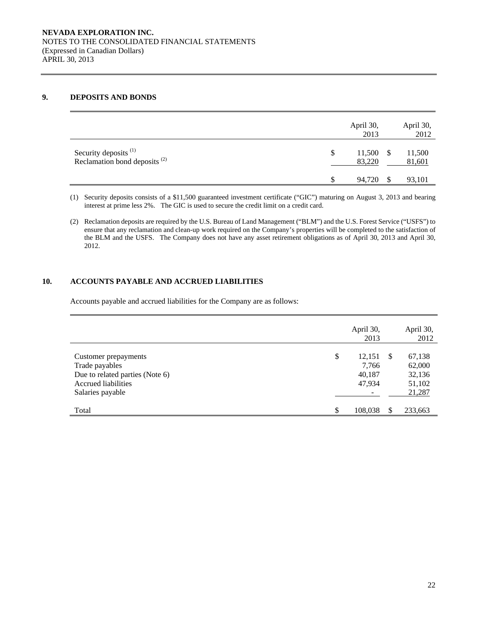### **9. DEPOSITS AND BONDS**

|                                                                              |   | April 30,<br>2013 | April 30,<br>2012 |
|------------------------------------------------------------------------------|---|-------------------|-------------------|
| Security deposits <sup>(1)</sup><br>Reclamation bond deposits <sup>(2)</sup> | S | 11,500<br>83,220  | 11,500<br>81,601  |
|                                                                              |   | 94.720            | 93,101            |

(1) Security deposits consists of a \$11,500 guaranteed investment certificate ("GIC") maturing on August 3, 2013 and bearing interest at prime less 2%. The GIC is used to secure the credit limit on a credit card.

(2) Reclamation deposits are required by the U.S. Bureau of Land Management ("BLM") and the U.S. Forest Service ("USFS") to ensure that any reclamation and clean-up work required on the Company's properties will be completed to the satisfaction of the BLM and the USFS. The Company does not have any asset retirement obligations as of April 30, 2013 and April 30, 2012.

# **10. ACCOUNTS PAYABLE AND ACCRUED LIABILITIES**

Accounts payable and accrued liabilities for the Company are as follows:

|                                                                                                                      |     | April 30,<br>2013                   |    | April 30,<br>2012                              |
|----------------------------------------------------------------------------------------------------------------------|-----|-------------------------------------|----|------------------------------------------------|
| Customer prepayments<br>Trade payables<br>Due to related parties (Note 6)<br>Accrued liabilities<br>Salaries payable | \$  | 12,151<br>7,766<br>40,187<br>47,934 | -S | 67,138<br>62,000<br>32,136<br>51,102<br>21,287 |
| Total                                                                                                                | \$. | 108,038                             | S  | 233,663                                        |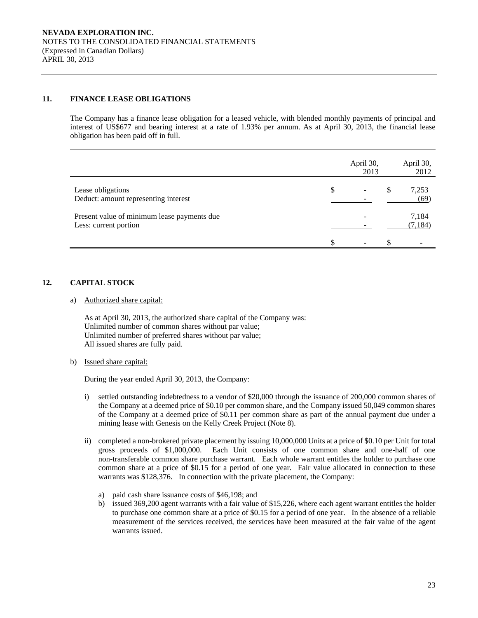# **11. FINANCE LEASE OBLIGATIONS**

The Company has a finance lease obligation for a leased vehicle, with blended monthly payments of principal and interest of US\$677 and bearing interest at a rate of 1.93% per annum. As at April 30, 2013, the financial lease obligation has been paid off in full.

|                                                                      | April 30,<br>2013        |   | April 30,<br>2012 |
|----------------------------------------------------------------------|--------------------------|---|-------------------|
| Lease obligations<br>Deduct: amount representing interest            | \$<br>-                  | S | 7,253<br>(69)     |
| Present value of minimum lease payments due<br>Less: current portion |                          |   | 7,184<br>(7, 184) |
|                                                                      | $\overline{\phantom{0}}$ |   |                   |

# **12. CAPITAL STOCK**

a) Authorized share capital:

As at April 30, 2013, the authorized share capital of the Company was: Unlimited number of common shares without par value; Unlimited number of preferred shares without par value; All issued shares are fully paid.

b) Issued share capital:

During the year ended April 30, 2013, the Company:

- i) settled outstanding indebtedness to a vendor of \$20,000 through the issuance of 200,000 common shares of the Company at a deemed price of \$0.10 per common share, and the Company issued 50,049 common shares of the Company at a deemed price of \$0.11 per common share as part of the annual payment due under a mining lease with Genesis on the Kelly Creek Project (Note 8).
- ii) completed a non-brokered private placement by issuing 10,000,000 Units at a price of \$0.10 per Unit for total gross proceeds of \$1,000,000. Each Unit consists of one common share and one-half of one non-transferable common share purchase warrant. Each whole warrant entitles the holder to purchase one common share at a price of \$0.15 for a period of one year. Fair value allocated in connection to these warrants was \$128,376. In connection with the private placement, the Company:
	- a) paid cash share issuance costs of \$46,198; and
	- b) issued 369,200 agent warrants with a fair value of \$15,226, where each agent warrant entitles the holder to purchase one common share at a price of \$0.15 for a period of one year. In the absence of a reliable measurement of the services received, the services have been measured at the fair value of the agent warrants issued.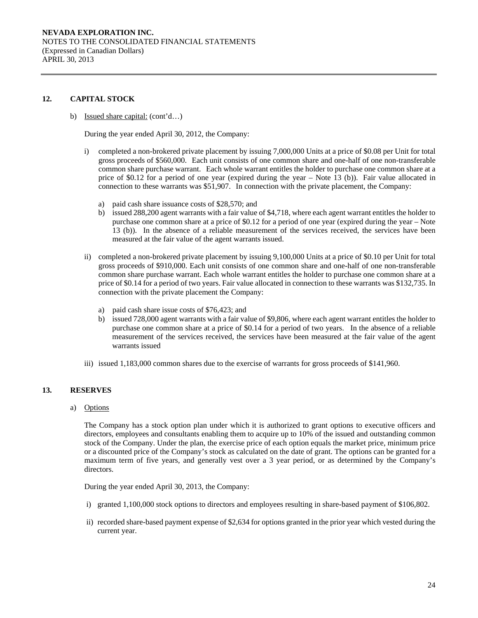### **12. CAPITAL STOCK**

b) Issued share capital: (cont'd…)

During the year ended April 30, 2012, the Company:

- i) completed a non-brokered private placement by issuing 7,000,000 Units at a price of \$0.08 per Unit for total gross proceeds of \$560,000. Each unit consists of one common share and one-half of one non-transferable common share purchase warrant. Each whole warrant entitles the holder to purchase one common share at a price of \$0.12 for a period of one year (expired during the year – Note 13 (b)). Fair value allocated in connection to these warrants was \$51,907. In connection with the private placement, the Company:
	- a) paid cash share issuance costs of \$28,570; and
	- b) issued 288,200 agent warrants with a fair value of \$4,718, where each agent warrant entitles the holder to purchase one common share at a price of \$0.12 for a period of one year (expired during the year – Note 13 (b)). In the absence of a reliable measurement of the services received, the services have been measured at the fair value of the agent warrants issued.
- ii) completed a non-brokered private placement by issuing 9,100,000 Units at a price of \$0.10 per Unit for total gross proceeds of \$910,000. Each unit consists of one common share and one-half of one non-transferable common share purchase warrant. Each whole warrant entitles the holder to purchase one common share at a price of \$0.14 for a period of two years. Fair value allocated in connection to these warrants was \$132,735. In connection with the private placement the Company:
	- a) paid cash share issue costs of \$76,423; and
	- b) issued 728,000 agent warrants with a fair value of \$9,806, where each agent warrant entitles the holder to purchase one common share at a price of \$0.14 for a period of two years. In the absence of a reliable measurement of the services received, the services have been measured at the fair value of the agent warrants issued
- iii) issued 1,183,000 common shares due to the exercise of warrants for gross proceeds of \$141,960.

#### **13. RESERVES**

a) Options

The Company has a stock option plan under which it is authorized to grant options to executive officers and directors, employees and consultants enabling them to acquire up to 10% of the issued and outstanding common stock of the Company. Under the plan, the exercise price of each option equals the market price, minimum price or a discounted price of the Company's stock as calculated on the date of grant. The options can be granted for a maximum term of five years, and generally vest over a 3 year period, or as determined by the Company's directors.

During the year ended April 30, 2013, the Company:

- i) granted 1,100,000 stock options to directors and employees resulting in share-based payment of \$106,802.
- ii) recorded share-based payment expense of \$2,634 for options granted in the prior year which vested during the current year.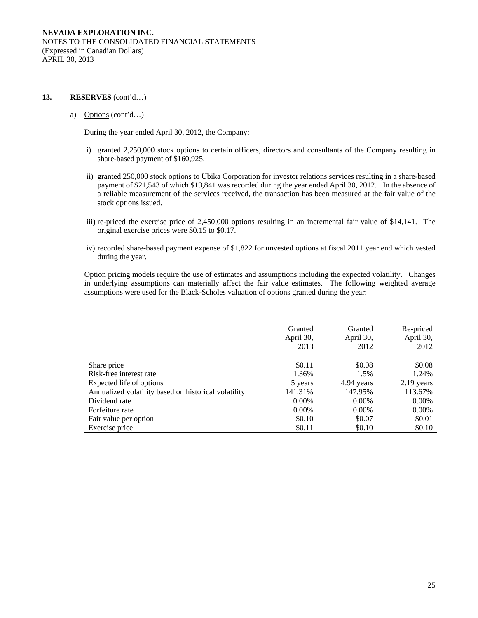#### **13. RESERVES** (cont'd…)

#### a) Options (cont'd…)

During the year ended April 30, 2012, the Company:

- i) granted 2,250,000 stock options to certain officers, directors and consultants of the Company resulting in share-based payment of \$160,925.
- ii) granted 250,000 stock options to Ubika Corporation for investor relations services resulting in a share-based payment of \$21,543 of which \$19,841 was recorded during the year ended April 30, 2012. In the absence of a reliable measurement of the services received, the transaction has been measured at the fair value of the stock options issued.
- iii) re-priced the exercise price of 2,450,000 options resulting in an incremental fair value of \$14,141. The original exercise prices were \$0.15 to \$0.17.
- iv) recorded share-based payment expense of \$1,822 for unvested options at fiscal 2011 year end which vested during the year.

Option pricing models require the use of estimates and assumptions including the expected volatility. Changes in underlying assumptions can materially affect the fair value estimates. The following weighted average assumptions were used for the Black-Scholes valuation of options granted during the year:

|                                                      | Granted<br>April 30,<br>2013 | Granted<br>April 30,<br>2012 | Re-priced<br>April 30,<br>2012 |
|------------------------------------------------------|------------------------------|------------------------------|--------------------------------|
|                                                      |                              |                              |                                |
| Share price                                          | \$0.11                       | \$0.08                       | \$0.08                         |
| Risk-free interest rate                              | 1.36%                        | 1.5%                         | 1.24%                          |
| Expected life of options                             | 5 years                      | 4.94 years                   | 2.19 years                     |
| Annualized volatility based on historical volatility | 141.31%                      | 147.95%                      | 113.67%                        |
| Dividend rate                                        | $0.00\%$                     | $0.00\%$                     | $0.00\%$                       |
| Forfeiture rate                                      | $0.00\%$                     | $0.00\%$                     | $0.00\%$                       |
| Fair value per option                                | \$0.10                       | \$0.07                       | \$0.01                         |
| Exercise price                                       | \$0.11                       | \$0.10                       | \$0.10                         |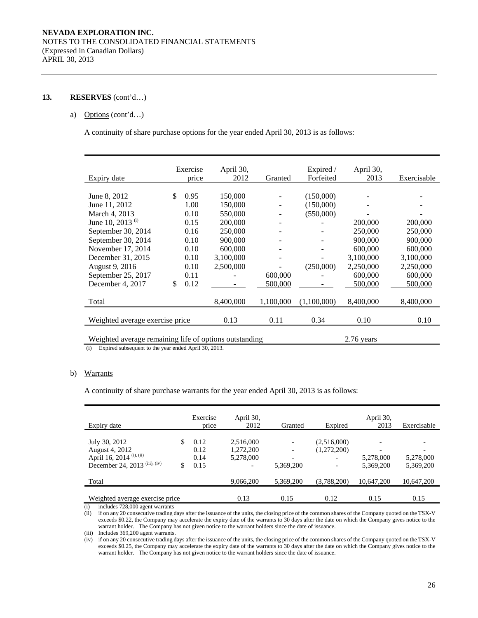### **13. RESERVES** (cont'd…)

### a) Options (cont'd…)

A continuity of share purchase options for the year ended April 30, 2013 is as follows:

|                                                        |     | Exercise | April 30,    |           | Expired /   | April 30, |             |
|--------------------------------------------------------|-----|----------|--------------|-----------|-------------|-----------|-------------|
| Expiry date                                            |     | price    | 2012         | Granted   | Forfeited   | 2013      | Exercisable |
|                                                        |     |          |              |           |             |           |             |
| June 8, 2012                                           | \$. | 0.95     | 150,000      |           | (150,000)   |           |             |
| June 11, 2012                                          |     | 1.00     | 150,000      |           | (150,000)   |           |             |
| March 4, 2013                                          |     | 0.10     | 550,000      |           | (550,000)   |           |             |
| June 10, 2013 (i)                                      |     | 0.15     | 200,000      |           |             | 200,000   | 200,000     |
| September 30, 2014                                     |     | 0.16     | 250,000      |           |             | 250,000   | 250,000     |
| September 30, 2014                                     |     | 0.10     | 900,000      |           |             | 900,000   | 900,000     |
| November 17, 2014                                      |     | 0.10     | 600,000      |           |             | 600,000   | 600,000     |
| December 31, 2015                                      |     | 0.10     | 3,100,000    |           |             | 3,100,000 | 3,100,000   |
| August 9, 2016                                         |     | 0.10     | 2,500,000    |           | (250,000)   | 2,250,000 | 2,250,000   |
| September 25, 2017                                     |     | 0.11     |              | 600,000   |             | 600,000   | 600,000     |
| December 4, 2017                                       | \$  | 0.12     |              | 500,000   |             | 500,000   | 500,000     |
|                                                        |     |          |              |           |             |           |             |
| Total                                                  |     |          | 8,400,000    | 1,100,000 | (1,100,000) | 8,400,000 | 8,400,000   |
|                                                        |     |          |              |           |             |           |             |
| Weighted average exercise price                        |     |          | 0.13         | 0.11      | 0.34        | 0.10      | 0.10        |
|                                                        |     |          |              |           |             |           |             |
| Weighted average remaining life of options outstanding |     |          | $2.76$ years |           |             |           |             |

(i) Expired subsequent to the year ended April 30, 2013.

### b) Warrants

A continuity of share purchase warrants for the year ended April 30, 2013 is as follows:

| Expiry date                                                                                             |         | Exercise<br>price            | April 30,<br>2012                   | Granted   | Expired                    | April 30,<br>2013      | Exercisable            |
|---------------------------------------------------------------------------------------------------------|---------|------------------------------|-------------------------------------|-----------|----------------------------|------------------------|------------------------|
| July 30, 2012<br>August 4, 2012<br>April 16, 2014 <sup>(i), (ii)</sup><br>December 24, 2013 (iii), (iv) | S<br>\$ | 0.12<br>0.12<br>0.14<br>0.15 | 2,516,000<br>1,272,200<br>5,278,000 | 5,369,200 | (2,516,000)<br>(1,272,200) | 5,278,000<br>5,369,200 | 5,278,000<br>5,369,200 |
| Total                                                                                                   |         |                              | 9,066,200                           | 5,369,200 | (3,788,200)                | 10.647.200             | 10,647,200             |
| Weighted average exercise price                                                                         |         |                              | 0.13                                | 0.15      | 0.12                       | 0.15                   | 0.15                   |

(i) includes 728,000 agent warrants

(ii) if on any 20 consecutive trading days after the issuance of the units, the closing price of the common shares of the Company quoted on the TSX-V exceeds \$0.22, the Company may accelerate the expiry date of the warrants to 30 days after the date on which the Company gives notice to the warrant holder. The Company has not given notice to the warrant holders since the date of issuance.

(iii) Includes 369,200 agent warrants.

(iv) if on any 20 consecutive trading days after the issuance of the units, the closing price of the common shares of the Company quoted on the TSX-V exceeds \$0.25, the Company may accelerate the expiry date of the warrants to 30 days after the date on which the Company gives notice to the warrant holder. The Company has not given notice to the warrant holders since the date of issuance.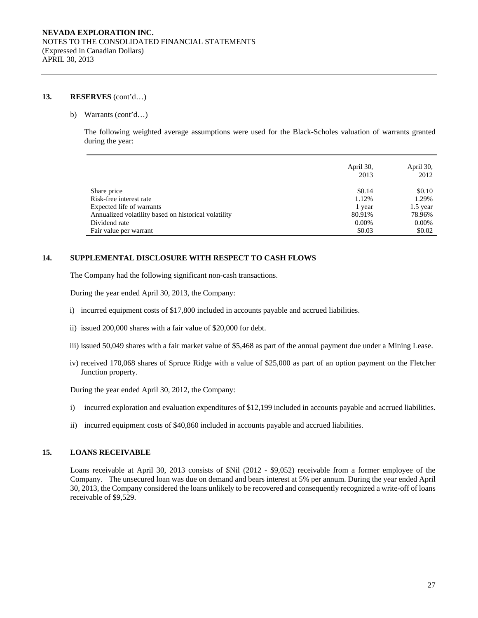### **13. RESERVES** (cont'd…)

#### b) Warrants (cont'd…)

The following weighted average assumptions were used for the Black-Scholes valuation of warrants granted during the year:

|                                                      | April 30,<br>2013 | April 30,<br>2012 |
|------------------------------------------------------|-------------------|-------------------|
|                                                      |                   |                   |
| Share price                                          | \$0.14            | \$0.10            |
| Risk-free interest rate                              | 1.12%             | 1.29%             |
| Expected life of warrants                            | 1 year            | $1.5$ year        |
| Annualized volatility based on historical volatility | 80.91%            | 78.96%            |
| Dividend rate                                        | $0.00\%$          | 0.00%             |
| Fair value per warrant                               | \$0.03            | \$0.02            |

# **14. SUPPLEMENTAL DISCLOSURE WITH RESPECT TO CASH FLOWS**

The Company had the following significant non-cash transactions.

During the year ended April 30, 2013, the Company:

- i) incurred equipment costs of \$17,800 included in accounts payable and accrued liabilities.
- ii) issued 200,000 shares with a fair value of \$20,000 for debt.
- iii) issued 50,049 shares with a fair market value of \$5,468 as part of the annual payment due under a Mining Lease.
- iv) received 170,068 shares of Spruce Ridge with a value of \$25,000 as part of an option payment on the Fletcher Junction property.

During the year ended April 30, 2012, the Company:

- i) incurred exploration and evaluation expenditures of \$12,199 included in accounts payable and accrued liabilities.
- ii) incurred equipment costs of \$40,860 included in accounts payable and accrued liabilities.

# **15. LOANS RECEIVABLE**

Loans receivable at April 30, 2013 consists of \$Nil (2012 - \$9,052) receivable from a former employee of the Company. The unsecured loan was due on demand and bears interest at 5% per annum. During the year ended April 30, 2013, the Company considered the loans unlikely to be recovered and consequently recognized a write-off of loans receivable of \$9,529.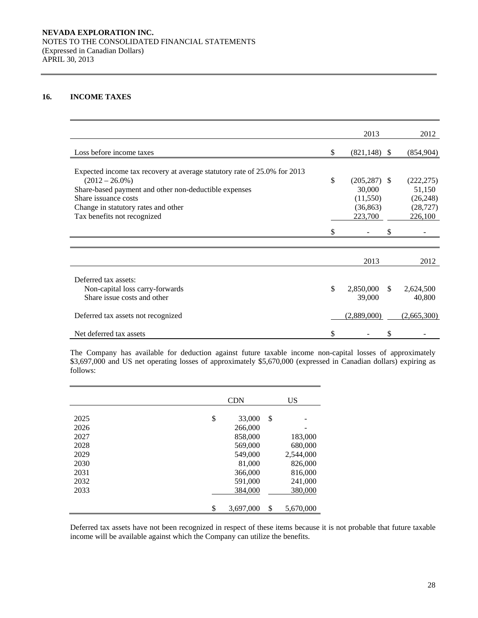# **16. INCOME TAXES**

|                                                                                               |    | 2013            |               | 2012        |
|-----------------------------------------------------------------------------------------------|----|-----------------|---------------|-------------|
| Loss before income taxes                                                                      | \$ | $(821, 148)$ \$ |               | (854,904)   |
|                                                                                               |    |                 |               |             |
| Expected income tax recovery at average statutory rate of 25.0% for 2013<br>$(2012 - 26.0\%)$ | \$ | $(205, 287)$ \$ |               | (222, 275)  |
| Share-based payment and other non-deductible expenses                                         |    | 30,000          |               | 51,150      |
| Share issuance costs                                                                          |    | (11,550)        |               | (26, 248)   |
| Change in statutory rates and other                                                           |    | (36, 863)       |               | (28, 727)   |
| Tax benefits not recognized                                                                   |    | 223,700         |               | 226,100     |
|                                                                                               | S  |                 |               |             |
|                                                                                               |    |                 |               |             |
|                                                                                               |    | 2013            |               | 2012        |
|                                                                                               |    |                 |               |             |
| Deferred tax assets:                                                                          |    |                 |               |             |
| Non-capital loss carry-forwards                                                               | \$ | 2,850,000       | <sup>\$</sup> | 2,624,500   |
| Share issue costs and other                                                                   |    | 39,000          |               | 40,800      |
| Deferred tax assets not recognized                                                            |    | (2,889,000)     |               | (2,665,300) |
|                                                                                               |    |                 |               |             |
| Net deferred tax assets                                                                       | \$ |                 | \$            |             |

 The Company has available for deduction against future taxable income non-capital losses of approximately \$3,697,000 and US net operating losses of approximately \$5,670,000 (expressed in Canadian dollars) expiring as follows:

|      | <b>CDN</b>      |    | <b>US</b> |
|------|-----------------|----|-----------|
|      |                 |    |           |
| 2025 | \$<br>33,000    | \$ |           |
| 2026 | 266,000         |    |           |
| 2027 | 858,000         |    | 183,000   |
| 2028 | 569,000         |    | 680,000   |
| 2029 | 549,000         |    | 2,544,000 |
| 2030 | 81,000          |    | 826,000   |
| 2031 | 366,000         |    | 816,000   |
| 2032 | 591,000         |    | 241,000   |
| 2033 | 384,000         |    | 380,000   |
|      |                 |    |           |
|      | \$<br>3,697,000 | \$ | 5,670,000 |

Deferred tax assets have not been recognized in respect of these items because it is not probable that future taxable income will be available against which the Company can utilize the benefits.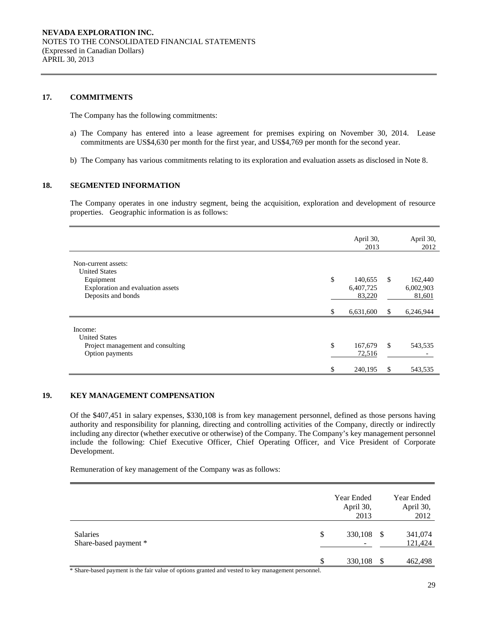#### **17. COMMITMENTS**

The Company has the following commitments:

- a) The Company has entered into a lease agreement for premises expiring on November 30, 2014. Lease commitments are US\$4,630 per month for the first year, and US\$4,769 per month for the second year.
- b) The Company has various commitments relating to its exploration and evaluation assets as disclosed in Note 8.

# **18. SEGMENTED INFORMATION**

The Company operates in one industry segment, being the acquisition, exploration and development of resource properties. Geographic information is as follows:

|                                                                                                                     |    | April 30,<br>2013              |               | April 30,<br>2012              |
|---------------------------------------------------------------------------------------------------------------------|----|--------------------------------|---------------|--------------------------------|
| Non-current assets:<br><b>United States</b><br>Equipment<br>Exploration and evaluation assets<br>Deposits and bonds | \$ | 140,655<br>6,407,725<br>83,220 | <sup>\$</sup> | 162,440<br>6,002,903<br>81,601 |
|                                                                                                                     | S  | 6,631,600                      | S             | 6,246,944                      |
| Income:<br><b>United States</b><br>Project management and consulting<br>Option payments                             | \$ | 167,679<br>72,516<br>240,195   | $\mathbb{S}$  | 543,535<br>543,535             |

# **19. KEY MANAGEMENT COMPENSATION**

Of the \$407,451 in salary expenses, \$330,108 is from key management personnel, defined as those persons having authority and responsibility for planning, directing and controlling activities of the Company, directly or indirectly including any director (whether executive or otherwise) of the Company. The Company's key management personnel include the following: Chief Executive Officer, Chief Operating Officer, and Vice President of Corporate Development.

Remuneration of key management of the Company was as follows:

|                                          |    | Year Ended<br>April 30,<br>2013 |    | Year Ended<br>April 30,<br>2012 |
|------------------------------------------|----|---------------------------------|----|---------------------------------|
| <b>Salaries</b><br>Share-based payment * | \$ | 330,108 \$                      |    | 341,074<br>121,424              |
|                                          | S  | 330,108                         | -S | 462,498                         |

Share-based payment is the fair value of options granted and vested to key management personnel.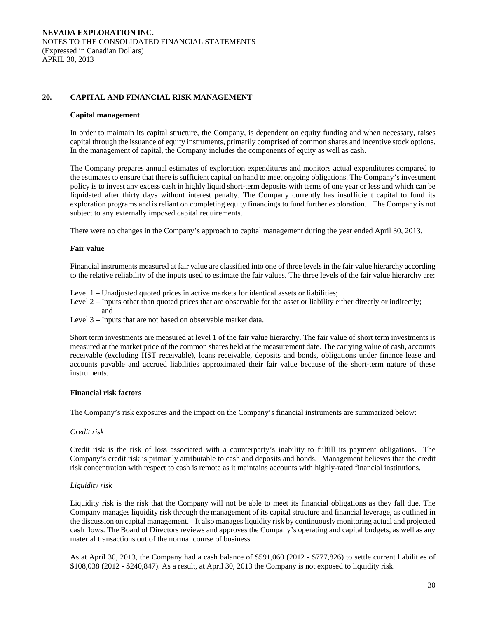### **20. CAPITAL AND FINANCIAL RISK MANAGEMENT**

#### **Capital management**

In order to maintain its capital structure, the Company, is dependent on equity funding and when necessary, raises capital through the issuance of equity instruments, primarily comprised of common shares and incentive stock options. In the management of capital, the Company includes the components of equity as well as cash.

The Company prepares annual estimates of exploration expenditures and monitors actual expenditures compared to the estimates to ensure that there is sufficient capital on hand to meet ongoing obligations. The Company's investment policy is to invest any excess cash in highly liquid short-term deposits with terms of one year or less and which can be liquidated after thirty days without interest penalty. The Company currently has insufficient capital to fund its exploration programs and is reliant on completing equity financings to fund further exploration. The Company is not subject to any externally imposed capital requirements.

There were no changes in the Company's approach to capital management during the year ended April 30, 2013.

#### **Fair value**

Financial instruments measured at fair value are classified into one of three levels in the fair value hierarchy according to the relative reliability of the inputs used to estimate the fair values. The three levels of the fair value hierarchy are:

Level 1 – Unadjusted quoted prices in active markets for identical assets or liabilities;

Level 2 – Inputs other than quoted prices that are observable for the asset or liability either directly or indirectly; and

Level 3 – Inputs that are not based on observable market data.

Short term investments are measured at level 1 of the fair value hierarchy. The fair value of short term investments is measured at the market price of the common shares held at the measurement date. The carrying value of cash, accounts receivable (excluding HST receivable), loans receivable, deposits and bonds, obligations under finance lease and accounts payable and accrued liabilities approximated their fair value because of the short-term nature of these instruments.

#### **Financial risk factors**

The Company's risk exposures and the impact on the Company's financial instruments are summarized below:

#### *Credit risk*

 Credit risk is the risk of loss associated with a counterparty's inability to fulfill its payment obligations. The Company's credit risk is primarily attributable to cash and deposits and bonds. Management believes that the credit risk concentration with respect to cash is remote as it maintains accounts with highly-rated financial institutions.

#### *Liquidity risk*

Liquidity risk is the risk that the Company will not be able to meet its financial obligations as they fall due. The Company manages liquidity risk through the management of its capital structure and financial leverage, as outlined in the discussion on capital management. It also manages liquidity risk by continuously monitoring actual and projected cash flows. The Board of Directors reviews and approves the Company's operating and capital budgets, as well as any material transactions out of the normal course of business.

As at April 30, 2013, the Company had a cash balance of \$591,060 (2012 - \$777,826) to settle current liabilities of \$108,038 (2012 - \$240,847). As a result, at April 30, 2013 the Company is not exposed to liquidity risk.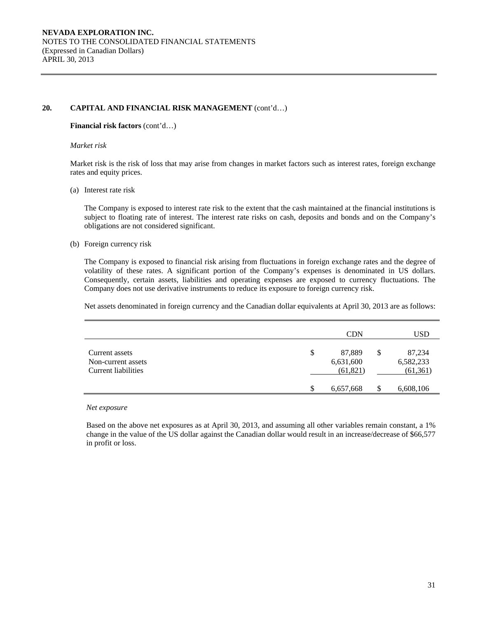# **20. CAPITAL AND FINANCIAL RISK MANAGEMENT** (cont'd…)

### **Financial risk factors** (cont'd…)

#### *Market risk*

Market risk is the risk of loss that may arise from changes in market factors such as interest rates, foreign exchange rates and equity prices.

### (a) Interest rate risk

 The Company is exposed to interest rate risk to the extent that the cash maintained at the financial institutions is subject to floating rate of interest. The interest rate risks on cash, deposits and bonds and on the Company's obligations are not considered significant.

# (b) Foreign currency risk

The Company is exposed to financial risk arising from fluctuations in foreign exchange rates and the degree of volatility of these rates. A significant portion of the Company's expenses is denominated in US dollars. Consequently, certain assets, liabilities and operating expenses are exposed to currency fluctuations. The Company does not use derivative instruments to reduce its exposure to foreign currency risk.

Net assets denominated in foreign currency and the Canadian dollar equivalents at April 30, 2013 are as follows:

|                                                             | <b>CDN</b>                             |    | USD                             |
|-------------------------------------------------------------|----------------------------------------|----|---------------------------------|
| Current assets<br>Non-current assets<br>Current liabilities | \$<br>87.889<br>6,631,600<br>(61, 821) | \$ | 87,234<br>6,582,233<br>(61,361) |
|                                                             | \$<br>6,657,668                        | S  | 6,608,106                       |

#### *Net exposure*

Based on the above net exposures as at April 30, 2013, and assuming all other variables remain constant, a 1% change in the value of the US dollar against the Canadian dollar would result in an increase/decrease of \$66,577 in profit or loss.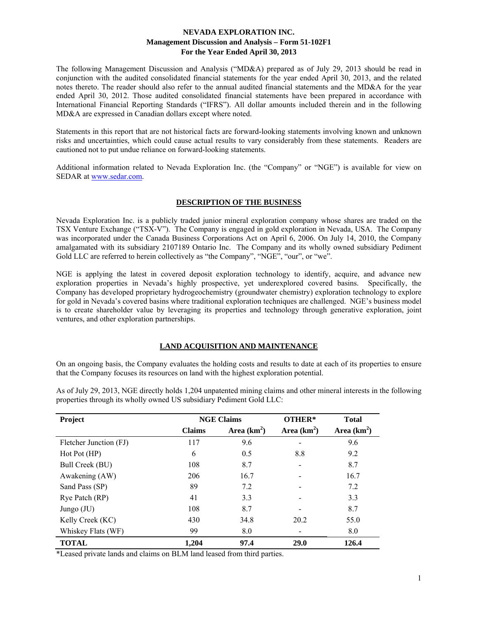The following Management Discussion and Analysis ("MD&A) prepared as of July 29, 2013 should be read in conjunction with the audited consolidated financial statements for the year ended April 30, 2013, and the related notes thereto. The reader should also refer to the annual audited financial statements and the MD&A for the year ended April 30, 2012. Those audited consolidated financial statements have been prepared in accordance with International Financial Reporting Standards ("IFRS"). All dollar amounts included therein and in the following MD&A are expressed in Canadian dollars except where noted.

Statements in this report that are not historical facts are forward-looking statements involving known and unknown risks and uncertainties, which could cause actual results to vary considerably from these statements. Readers are cautioned not to put undue reliance on forward-looking statements.

Additional information related to Nevada Exploration Inc. (the "Company" or "NGE") is available for view on SEDAR at www.sedar.com.

# **DESCRIPTION OF THE BUSINESS**

Nevada Exploration Inc. is a publicly traded junior mineral exploration company whose shares are traded on the TSX Venture Exchange ("TSX-V"). The Company is engaged in gold exploration in Nevada, USA. The Company was incorporated under the Canada Business Corporations Act on April 6, 2006. On July 14, 2010, the Company amalgamated with its subsidiary 2107189 Ontario Inc. The Company and its wholly owned subsidiary Pediment Gold LLC are referred to herein collectively as "the Company", "NGE", "our", or "we".

NGE is applying the latest in covered deposit exploration technology to identify, acquire, and advance new exploration properties in Nevada's highly prospective, yet underexplored covered basins. Specifically, the Company has developed proprietary hydrogeochemistry (groundwater chemistry) exploration technology to explore for gold in Nevada's covered basins where traditional exploration techniques are challenged. NGE's business model is to create shareholder value by leveraging its properties and technology through generative exploration, joint ventures, and other exploration partnerships.

# **LAND ACQUISITION AND MAINTENANCE**

On an ongoing basis, the Company evaluates the holding costs and results to date at each of its properties to ensure that the Company focuses its resources on land with the highest exploration potential.

**Project Claims OTHER\* Total Project According to ACC Claims OTHER\* Total** Claims Area (km<sup>2</sup>) **) Area (km<sup>2</sup> ) Area (km<sup>2</sup> )**  Fletcher Junction (FJ) 117 9.6 - 9.6 Hot Pot (HP) 6 0.5 8.8 9.2 Bull Creek (BU) 108 8.7 - 8.7 Awakening (AW) 206 16.7 - 16.7 Sand Pass (SP) 89 7.2 - 7.2 Rye Patch (RP)  $41$   $3.3$   $3.3$ Jungo (JU)  $108$  8.7 - 8.7 Kelly Creek (KC) 430 34.8 20.2 55.0 Whiskey Flats (WF)  $99$  8.0 - 8.0  $8.0$ **TOTAL** 1,204 97.4 29.0 126.4

As of July 29, 2013, NGE directly holds 1,204 unpatented mining claims and other mineral interests in the following properties through its wholly owned US subsidiary Pediment Gold LLC:

\*Leased private lands and claims on BLM land leased from third parties.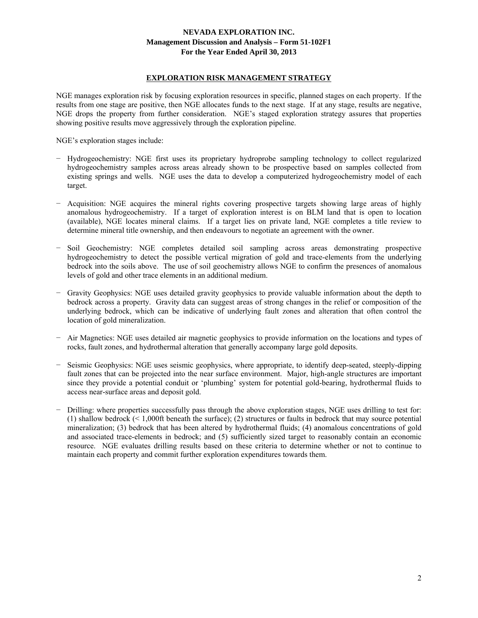### **EXPLORATION RISK MANAGEMENT STRATEGY**

NGE manages exploration risk by focusing exploration resources in specific, planned stages on each property. If the results from one stage are positive, then NGE allocates funds to the next stage. If at any stage, results are negative, NGE drops the property from further consideration. NGE's staged exploration strategy assures that properties showing positive results move aggressively through the exploration pipeline.

NGE's exploration stages include:

- − Hydrogeochemistry: NGE first uses its proprietary hydroprobe sampling technology to collect regularized hydrogeochemistry samples across areas already shown to be prospective based on samples collected from existing springs and wells. NGE uses the data to develop a computerized hydrogeochemistry model of each target.
- − Acquisition: NGE acquires the mineral rights covering prospective targets showing large areas of highly anomalous hydrogeochemistry. If a target of exploration interest is on BLM land that is open to location (available), NGE locates mineral claims. If a target lies on private land, NGE completes a title review to determine mineral title ownership, and then endeavours to negotiate an agreement with the owner.
- − Soil Geochemistry: NGE completes detailed soil sampling across areas demonstrating prospective hydrogeochemistry to detect the possible vertical migration of gold and trace-elements from the underlying bedrock into the soils above. The use of soil geochemistry allows NGE to confirm the presences of anomalous levels of gold and other trace elements in an additional medium.
- − Gravity Geophysics: NGE uses detailed gravity geophysics to provide valuable information about the depth to bedrock across a property. Gravity data can suggest areas of strong changes in the relief or composition of the underlying bedrock, which can be indicative of underlying fault zones and alteration that often control the location of gold mineralization.
- − Air Magnetics: NGE uses detailed air magnetic geophysics to provide information on the locations and types of rocks, fault zones, and hydrothermal alteration that generally accompany large gold deposits.
- − Seismic Geophysics: NGE uses seismic geophysics, where appropriate, to identify deep-seated, steeply-dipping fault zones that can be projected into the near surface environment. Major, high-angle structures are important since they provide a potential conduit or 'plumbing' system for potential gold-bearing, hydrothermal fluids to access near-surface areas and deposit gold.
- − Drilling: where properties successfully pass through the above exploration stages, NGE uses drilling to test for: (1) shallow bedrock (< 1,000ft beneath the surface); (2) structures or faults in bedrock that may source potential mineralization; (3) bedrock that has been altered by hydrothermal fluids; (4) anomalous concentrations of gold and associated trace-elements in bedrock; and (5) sufficiently sized target to reasonably contain an economic resource. NGE evaluates drilling results based on these criteria to determine whether or not to continue to maintain each property and commit further exploration expenditures towards them.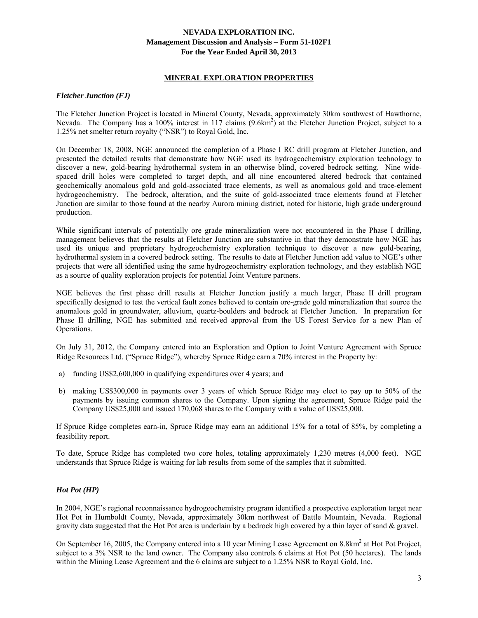### **MINERAL EXPLORATION PROPERTIES**

### *Fletcher Junction (FJ)*

The Fletcher Junction Project is located in Mineral County, Nevada, approximately 30km southwest of Hawthorne, Nevada. The Company has a 100% interest in 117 claims (9.6km<sup>2</sup>) at the Fletcher Junction Project, subject to a 1.25% net smelter return royalty ("NSR") to Royal Gold, Inc.

On December 18, 2008, NGE announced the completion of a Phase I RC drill program at Fletcher Junction, and presented the detailed results that demonstrate how NGE used its hydrogeochemistry exploration technology to discover a new, gold-bearing hydrothermal system in an otherwise blind, covered bedrock setting. Nine widespaced drill holes were completed to target depth, and all nine encountered altered bedrock that contained geochemically anomalous gold and gold-associated trace elements, as well as anomalous gold and trace-element hydrogeochemistry. The bedrock, alteration, and the suite of gold-associated trace elements found at Fletcher Junction are similar to those found at the nearby Aurora mining district, noted for historic, high grade underground production.

While significant intervals of potentially ore grade mineralization were not encountered in the Phase I drilling, management believes that the results at Fletcher Junction are substantive in that they demonstrate how NGE has used its unique and proprietary hydrogeochemistry exploration technique to discover a new gold-bearing, hydrothermal system in a covered bedrock setting. The results to date at Fletcher Junction add value to NGE's other projects that were all identified using the same hydrogeochemistry exploration technology, and they establish NGE as a source of quality exploration projects for potential Joint Venture partners.

NGE believes the first phase drill results at Fletcher Junction justify a much larger, Phase II drill program specifically designed to test the vertical fault zones believed to contain ore-grade gold mineralization that source the anomalous gold in groundwater, alluvium, quartz-boulders and bedrock at Fletcher Junction. In preparation for Phase II drilling, NGE has submitted and received approval from the US Forest Service for a new Plan of Operations.

On July 31, 2012, the Company entered into an Exploration and Option to Joint Venture Agreement with Spruce Ridge Resources Ltd. ("Spruce Ridge"), whereby Spruce Ridge earn a 70% interest in the Property by:

- a) funding US\$2,600,000 in qualifying expenditures over 4 years; and
- b) making US\$300,000 in payments over 3 years of which Spruce Ridge may elect to pay up to 50% of the payments by issuing common shares to the Company. Upon signing the agreement, Spruce Ridge paid the Company US\$25,000 and issued 170,068 shares to the Company with a value of US\$25,000.

If Spruce Ridge completes earn-in, Spruce Ridge may earn an additional 15% for a total of 85%, by completing a feasibility report.

To date, Spruce Ridge has completed two core holes, totaling approximately 1,230 metres (4,000 feet). NGE understands that Spruce Ridge is waiting for lab results from some of the samples that it submitted.

# *Hot Pot (HP)*

In 2004, NGE's regional reconnaissance hydrogeochemistry program identified a prospective exploration target near Hot Pot in Humboldt County, Nevada, approximately 30km northwest of Battle Mountain, Nevada. Regional gravity data suggested that the Hot Pot area is underlain by a bedrock high covered by a thin layer of sand  $\&$  gravel.

On September 16, 2005, the Company entered into a 10 year Mining Lease Agreement on 8.8km<sup>2</sup> at Hot Pot Project, subject to a 3% NSR to the land owner. The Company also controls 6 claims at Hot Pot (50 hectares). The lands within the Mining Lease Agreement and the 6 claims are subject to a 1.25% NSR to Royal Gold, Inc.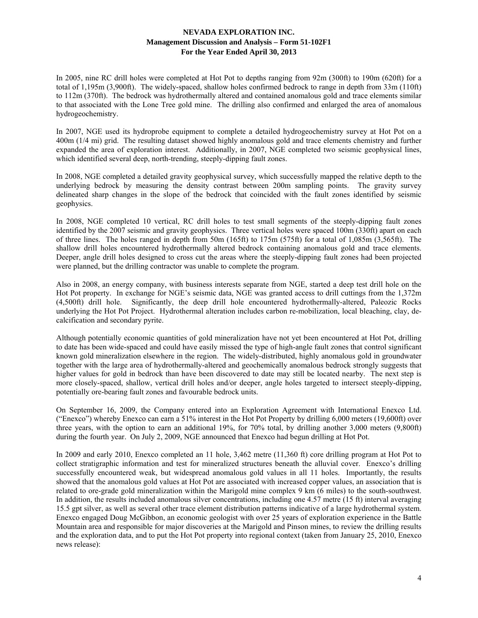In 2005, nine RC drill holes were completed at Hot Pot to depths ranging from 92m (300ft) to 190m (620ft) for a total of 1,195m (3,900ft). The widely-spaced, shallow holes confirmed bedrock to range in depth from 33m (110ft) to 112m (370ft). The bedrock was hydrothermally altered and contained anomalous gold and trace elements similar to that associated with the Lone Tree gold mine. The drilling also confirmed and enlarged the area of anomalous hydrogeochemistry.

In 2007, NGE used its hydroprobe equipment to complete a detailed hydrogeochemistry survey at Hot Pot on a 400m (1/4 mi) grid. The resulting dataset showed highly anomalous gold and trace elements chemistry and further expanded the area of exploration interest. Additionally, in 2007, NGE completed two seismic geophysical lines, which identified several deep, north-trending, steeply-dipping fault zones.

In 2008, NGE completed a detailed gravity geophysical survey, which successfully mapped the relative depth to the underlying bedrock by measuring the density contrast between 200m sampling points. The gravity survey delineated sharp changes in the slope of the bedrock that coincided with the fault zones identified by seismic geophysics.

In 2008, NGE completed 10 vertical, RC drill holes to test small segments of the steeply-dipping fault zones identified by the 2007 seismic and gravity geophysics. Three vertical holes were spaced 100m (330ft) apart on each of three lines. The holes ranged in depth from 50m (165ft) to 175m (575ft) for a total of 1,085m (3,565ft). The shallow drill holes encountered hydrothermally altered bedrock containing anomalous gold and trace elements. Deeper, angle drill holes designed to cross cut the areas where the steeply-dipping fault zones had been projected were planned, but the drilling contractor was unable to complete the program.

Also in 2008, an energy company, with business interests separate from NGE, started a deep test drill hole on the Hot Pot property. In exchange for NGE's seismic data, NGE was granted access to drill cuttings from the 1,372m (4,500ft) drill hole. Significantly, the deep drill hole encountered hydrothermally-altered, Paleozic Rocks underlying the Hot Pot Project. Hydrothermal alteration includes carbon re-mobilization, local bleaching, clay, decalcification and secondary pyrite.

Although potentially economic quantities of gold mineralization have not yet been encountered at Hot Pot, drilling to date has been wide-spaced and could have easily missed the type of high-angle fault zones that control significant known gold mineralization elsewhere in the region. The widely-distributed, highly anomalous gold in groundwater together with the large area of hydrothermally-altered and geochemically anomalous bedrock strongly suggests that higher values for gold in bedrock than have been discovered to date may still be located nearby. The next step is more closely-spaced, shallow, vertical drill holes and/or deeper, angle holes targeted to intersect steeply-dipping, potentially ore-bearing fault zones and favourable bedrock units.

On September 16, 2009, the Company entered into an Exploration Agreement with International Enexco Ltd. ("Enexco") whereby Enexco can earn a 51% interest in the Hot Pot Property by drilling 6,000 meters (19,600ft) over three years, with the option to earn an additional 19%, for 70% total, by drilling another 3,000 meters (9,800ft) during the fourth year. On July 2, 2009, NGE announced that Enexco had begun drilling at Hot Pot.

In 2009 and early 2010, Enexco completed an 11 hole, 3,462 metre (11,360 ft) core drilling program at Hot Pot to collect stratigraphic information and test for mineralized structures beneath the alluvial cover. Enexco's drilling successfully encountered weak, but widespread anomalous gold values in all 11 holes. Importantly, the results showed that the anomalous gold values at Hot Pot are associated with increased copper values, an association that is related to ore-grade gold mineralization within the Marigold mine complex 9 km (6 miles) to the south-southwest. In addition, the results included anomalous silver concentrations, including one 4.57 metre (15 ft) interval averaging 15.5 gpt silver, as well as several other trace element distribution patterns indicative of a large hydrothermal system. Enexco engaged Doug McGibbon, an economic geologist with over 25 years of exploration experience in the Battle Mountain area and responsible for major discoveries at the Marigold and Pinson mines, to review the drilling results and the exploration data, and to put the Hot Pot property into regional context (taken from January 25, 2010, Enexco news release):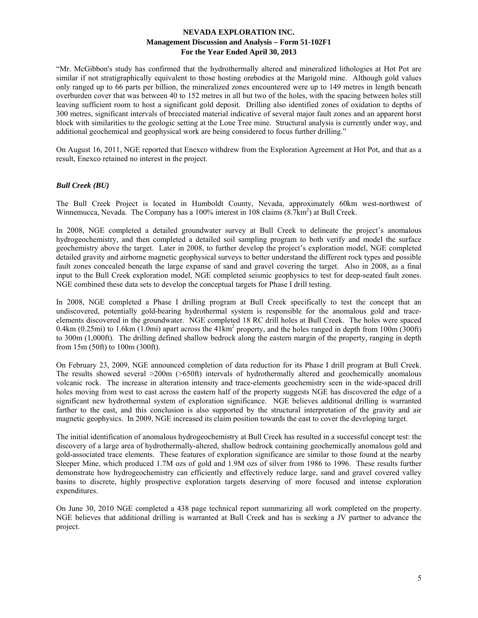"Mr. McGibbon's study has confirmed that the hydrothermally altered and mineralized lithologies at Hot Pot are similar if not stratigraphically equivalent to those hosting orebodies at the Marigold mine. Although gold values only ranged up to 66 parts per billion, the mineralized zones encountered were up to 149 metres in length beneath overburden cover that was between 40 to 152 metres in all but two of the holes, with the spacing between holes still leaving sufficient room to host a significant gold deposit. Drilling also identified zones of oxidation to depths of 300 metres, significant intervals of brecciated material indicative of several major fault zones and an apparent horst block with similarities to the geologic setting at the Lone Tree mine. Structural analysis is currently under way, and additional geochemical and geophysical work are being considered to focus further drilling."

On August 16, 2011, NGE reported that Enexco withdrew from the Exploration Agreement at Hot Pot, and that as a result, Enexco retained no interest in the project.

# *Bull Creek (BU)*

The Bull Creek Project is located in Humboldt County, Nevada, approximately 60km west-northwest of Winnemucca, Nevada. The Company has a 100% interest in 108 claims (8.7km<sup>2</sup>) at Bull Creek.

In 2008, NGE completed a detailed groundwater survey at Bull Creek to delineate the project's anomalous hydrogeochemistry, and then completed a detailed soil sampling program to both verify and model the surface geochemistry above the target. Later in 2008, to further develop the project's exploration model, NGE completed detailed gravity and airborne magnetic geophysical surveys to better understand the different rock types and possible fault zones concealed beneath the large expanse of sand and gravel covering the target. Also in 2008, as a final input to the Bull Creek exploration model, NGE completed seismic geophysics to test for deep-seated fault zones. NGE combined these data sets to develop the conceptual targets for Phase I drill testing.

In 2008, NGE completed a Phase I drilling program at Bull Creek specifically to test the concept that an undiscovered, potentially gold-bearing hydrothermal system is responsible for the anomalous gold and traceelements discovered in the groundwater. NGE completed 18 RC drill holes at Bull Creek. The holes were spaced 0.4km (0.25mi) to 1.6km (1.0mi) apart across the  $41 \text{km}^2$  property, and the holes ranged in depth from 100m (300ft) to 300m (1,000ft). The drilling defined shallow bedrock along the eastern margin of the property, ranging in depth from 15m (50ft) to 100m (300ft).

On February 23, 2009, NGE announced completion of data reduction for its Phase I drill program at Bull Creek. The results showed several >200m (>650ft) intervals of hydrothermally altered and geochemically anomalous volcanic rock. The increase in alteration intensity and trace-elements geochemistry seen in the wide-spaced drill holes moving from west to east across the eastern half of the property suggests NGE has discovered the edge of a significant new hydrothermal system of exploration significance. NGE believes additional drilling is warranted farther to the east, and this conclusion is also supported by the structural interpretation of the gravity and air magnetic geophysics. In 2009, NGE increased its claim position towards the east to cover the developing target.

The initial identification of anomalous hydrogeochemistry at Bull Creek has resulted in a successful concept test: the discovery of a large area of hydrothermally-altered, shallow bedrock containing geochemically anomalous gold and gold-associated trace elements. These features of exploration significance are similar to those found at the nearby Sleeper Mine, which produced 1.7M ozs of gold and 1.9M ozs of silver from 1986 to 1996. These results further demonstrate how hydrogeochemistry can efficiently and effectively reduce large, sand and gravel covered valley basins to discrete, highly prospective exploration targets deserving of more focused and intense exploration expenditures.

On June 30, 2010 NGE completed a 438 page technical report summarizing all work completed on the property. NGE believes that additional drilling is warranted at Bull Creek and has is seeking a JV partner to advance the project.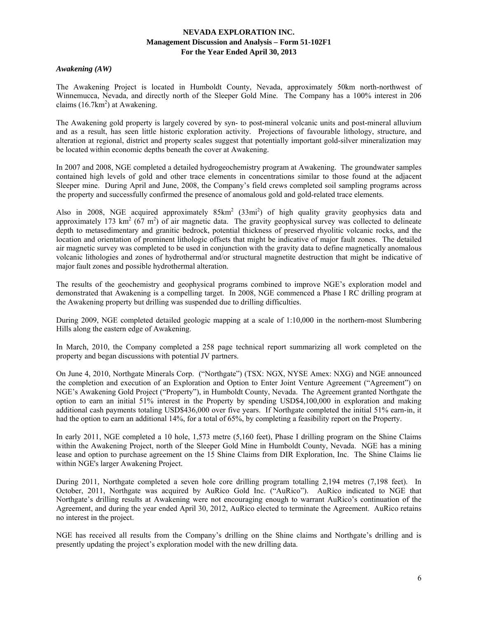### *Awakening (AW)*

The Awakening Project is located in Humboldt County, Nevada, approximately 50km north-northwest of Winnemucca, Nevada, and directly north of the Sleeper Gold Mine. The Company has a 100% interest in 206 claims  $(16.7 \text{km}^2)$  at Awakening.

The Awakening gold property is largely covered by syn- to post-mineral volcanic units and post-mineral alluvium and as a result, has seen little historic exploration activity. Projections of favourable lithology, structure, and alteration at regional, district and property scales suggest that potentially important gold-silver mineralization may be located within economic depths beneath the cover at Awakening.

In 2007 and 2008, NGE completed a detailed hydrogeochemistry program at Awakening. The groundwater samples contained high levels of gold and other trace elements in concentrations similar to those found at the adjacent Sleeper mine. During April and June, 2008, the Company's field crews completed soil sampling programs across the property and successfully confirmed the presence of anomalous gold and gold-related trace elements.

Also in 2008, NGE acquired approximately  $85 \text{km}^2$  (33mi<sup>2</sup>) of high quality gravity geophysics data and approximately 173 km<sup>2</sup> ( $67 \text{ m}^2$ ) of air magnetic data. The gravity geophysical survey was collected to delineate depth to metasedimentary and granitic bedrock, potential thickness of preserved rhyolitic volcanic rocks, and the location and orientation of prominent lithologic offsets that might be indicative of major fault zones. The detailed air magnetic survey was completed to be used in conjunction with the gravity data to define magnetically anomalous volcanic lithologies and zones of hydrothermal and/or structural magnetite destruction that might be indicative of major fault zones and possible hydrothermal alteration.

The results of the geochemistry and geophysical programs combined to improve NGE's exploration model and demonstrated that Awakening is a compelling target. In 2008, NGE commenced a Phase I RC drilling program at the Awakening property but drilling was suspended due to drilling difficulties.

During 2009, NGE completed detailed geologic mapping at a scale of 1:10,000 in the northern-most Slumbering Hills along the eastern edge of Awakening.

In March, 2010, the Company completed a 258 page technical report summarizing all work completed on the property and began discussions with potential JV partners.

On June 4, 2010, Northgate Minerals Corp. ("Northgate") (TSX: NGX, NYSE Amex: NXG) and NGE announced the completion and execution of an Exploration and Option to Enter Joint Venture Agreement ("Agreement") on NGE's Awakening Gold Project ("Property"), in Humboldt County, Nevada. The Agreement granted Northgate the option to earn an initial 51% interest in the Property by spending USD\$4,100,000 in exploration and making additional cash payments totaling USD\$436,000 over five years. If Northgate completed the initial 51% earn-in, it had the option to earn an additional 14%, for a total of 65%, by completing a feasibility report on the Property.

In early 2011, NGE completed a 10 hole, 1,573 metre (5,160 feet), Phase I drilling program on the Shine Claims within the Awakening Project, north of the Sleeper Gold Mine in Humboldt County, Nevada. NGE has a mining lease and option to purchase agreement on the 15 Shine Claims from DIR Exploration, Inc. The Shine Claims lie within NGE's larger Awakening Project.

During 2011, Northgate completed a seven hole core drilling program totalling 2,194 metres (7,198 feet). In October, 2011, Northgate was acquired by AuRico Gold Inc. ("AuRico"). AuRico indicated to NGE that Northgate's drilling results at Awakening were not encouraging enough to warrant AuRico's continuation of the Agreement, and during the year ended April 30, 2012, AuRico elected to terminate the Agreement. AuRico retains no interest in the project.

NGE has received all results from the Company's drilling on the Shine claims and Northgate's drilling and is presently updating the project's exploration model with the new drilling data.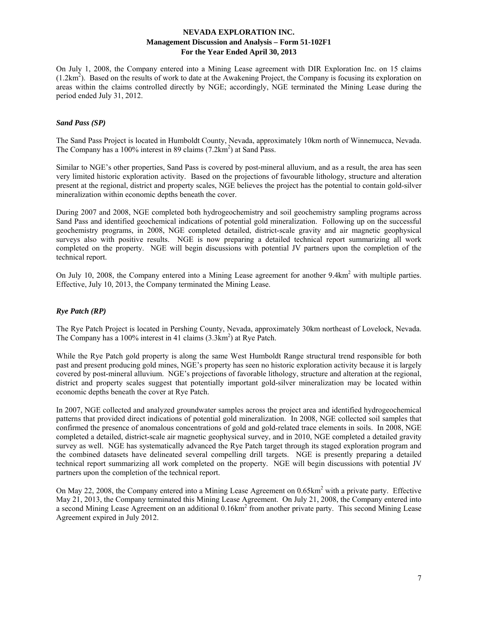On July 1, 2008, the Company entered into a Mining Lease agreement with DIR Exploration Inc. on 15 claims  $(1.2 \text{km}^2)$ . Based on the results of work to date at the Awakening Project, the Company is focusing its exploration on areas within the claims controlled directly by NGE; accordingly, NGE terminated the Mining Lease during the period ended July 31, 2012.

# *Sand Pass (SP)*

The Sand Pass Project is located in Humboldt County, Nevada, approximately 10km north of Winnemucca, Nevada. The Company has a  $100\%$  interest in 89 claims  $(7.2 \text{km}^2)$  at Sand Pass.

Similar to NGE's other properties, Sand Pass is covered by post-mineral alluvium, and as a result, the area has seen very limited historic exploration activity. Based on the projections of favourable lithology, structure and alteration present at the regional, district and property scales, NGE believes the project has the potential to contain gold-silver mineralization within economic depths beneath the cover.

During 2007 and 2008, NGE completed both hydrogeochemistry and soil geochemistry sampling programs across Sand Pass and identified geochemical indications of potential gold mineralization. Following up on the successful geochemistry programs, in 2008, NGE completed detailed, district-scale gravity and air magnetic geophysical surveys also with positive results. NGE is now preparing a detailed technical report summarizing all work completed on the property. NGE will begin discussions with potential JV partners upon the completion of the technical report.

On July 10, 2008, the Company entered into a Mining Lease agreement for another 9.4km<sup>2</sup> with multiple parties. Effective, July 10, 2013, the Company terminated the Mining Lease.

# *Rye Patch (RP)*

The Rye Patch Project is located in Pershing County, Nevada, approximately 30km northeast of Lovelock, Nevada. The Company has a  $100\%$  interest in 41 claims  $(3.3 \text{km}^2)$  at Rye Patch.

While the Rye Patch gold property is along the same West Humboldt Range structural trend responsible for both past and present producing gold mines, NGE's property has seen no historic exploration activity because it is largely covered by post-mineral alluvium. NGE's projections of favorable lithology, structure and alteration at the regional, district and property scales suggest that potentially important gold-silver mineralization may be located within economic depths beneath the cover at Rye Patch.

In 2007, NGE collected and analyzed groundwater samples across the project area and identified hydrogeochemical patterns that provided direct indications of potential gold mineralization. In 2008, NGE collected soil samples that confirmed the presence of anomalous concentrations of gold and gold-related trace elements in soils. In 2008, NGE completed a detailed, district-scale air magnetic geophysical survey, and in 2010, NGE completed a detailed gravity survey as well. NGE has systematically advanced the Rye Patch target through its staged exploration program and the combined datasets have delineated several compelling drill targets. NGE is presently preparing a detailed technical report summarizing all work completed on the property. NGE will begin discussions with potential JV partners upon the completion of the technical report.

On May 22, 2008, the Company entered into a Mining Lease Agreement on 0.65km<sup>2</sup> with a private party. Effective May 21, 2013, the Company terminated this Mining Lease Agreement. On July 21, 2008, the Company entered into a second Mining Lease Agreement on an additional 0.16km<sup>2</sup> from another private party. This second Mining Lease Agreement expired in July 2012.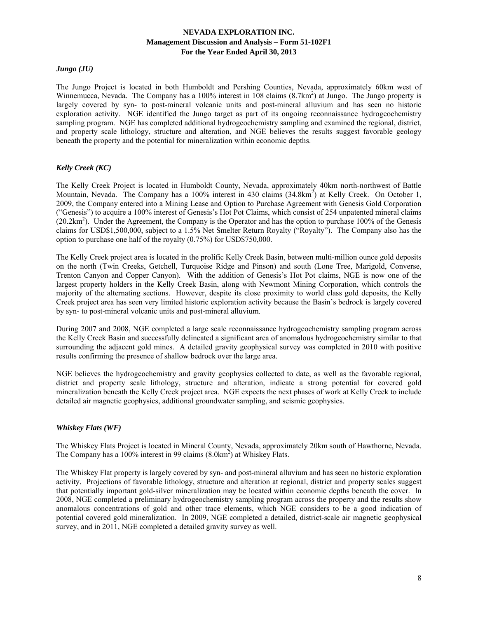# *Jungo (JU)*

The Jungo Project is located in both Humboldt and Pershing Counties, Nevada, approximately 60km west of Winnemucca, Nevada. The Company has a 100% interest in  $108$  claims  $(8.7 \text{km}^2)$  at Jungo. The Jungo property is largely covered by syn- to post-mineral volcanic units and post-mineral alluvium and has seen no historic exploration activity. NGE identified the Jungo target as part of its ongoing reconnaissance hydrogeochemistry sampling program. NGE has completed additional hydrogeochemistry sampling and examined the regional, district, and property scale lithology, structure and alteration, and NGE believes the results suggest favorable geology beneath the property and the potential for mineralization within economic depths.

# *Kelly Creek (KC)*

The Kelly Creek Project is located in Humboldt County, Nevada, approximately 40km north-northwest of Battle Mountain, Nevada. The Company has a 100% interest in 430 claims (34.8km<sup>2</sup>) at Kelly Creek. On October 1, 2009, the Company entered into a Mining Lease and Option to Purchase Agreement with Genesis Gold Corporation ("Genesis") to acquire a 100% interest of Genesis's Hot Pot Claims, which consist of 254 unpatented mineral claims  $(20.2 \text{km}^2)$ . Under the Agreement, the Company is the Operator and has the option to purchase 100% of the Genesis claims for USD\$1,500,000, subject to a 1.5% Net Smelter Return Royalty ("Royalty"). The Company also has the option to purchase one half of the royalty (0.75%) for USD\$750,000.

The Kelly Creek project area is located in the prolific Kelly Creek Basin, between multi-million ounce gold deposits on the north (Twin Creeks, Getchell, Turquoise Ridge and Pinson) and south (Lone Tree, Marigold, Converse, Trenton Canyon and Copper Canyon). With the addition of Genesis's Hot Pot claims, NGE is now one of the largest property holders in the Kelly Creek Basin, along with Newmont Mining Corporation, which controls the majority of the alternating sections. However, despite its close proximity to world class gold deposits, the Kelly Creek project area has seen very limited historic exploration activity because the Basin's bedrock is largely covered by syn- to post-mineral volcanic units and post-mineral alluvium.

During 2007 and 2008, NGE completed a large scale reconnaissance hydrogeochemistry sampling program across the Kelly Creek Basin and successfully delineated a significant area of anomalous hydrogeochemistry similar to that surrounding the adjacent gold mines. A detailed gravity geophysical survey was completed in 2010 with positive results confirming the presence of shallow bedrock over the large area.

NGE believes the hydrogeochemistry and gravity geophysics collected to date, as well as the favorable regional, district and property scale lithology, structure and alteration, indicate a strong potential for covered gold mineralization beneath the Kelly Creek project area. NGE expects the next phases of work at Kelly Creek to include detailed air magnetic geophysics, additional groundwater sampling, and seismic geophysics.

# *Whiskey Flats (WF)*

The Whiskey Flats Project is located in Mineral County, Nevada, approximately 20km south of Hawthorne, Nevada. The Company has a 100% interest in 99 claims (8.0km<sup>2</sup>) at Whiskey Flats.

The Whiskey Flat property is largely covered by syn- and post-mineral alluvium and has seen no historic exploration activity. Projections of favorable lithology, structure and alteration at regional, district and property scales suggest that potentially important gold-silver mineralization may be located within economic depths beneath the cover. In 2008, NGE completed a preliminary hydrogeochemistry sampling program across the property and the results show anomalous concentrations of gold and other trace elements, which NGE considers to be a good indication of potential covered gold mineralization. In 2009, NGE completed a detailed, district-scale air magnetic geophysical survey, and in 2011, NGE completed a detailed gravity survey as well.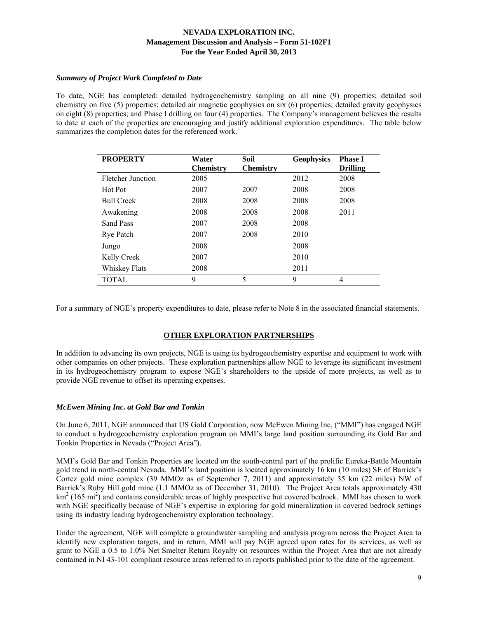### *Summary of Project Work Completed to Date*

To date, NGE has completed: detailed hydrogeochemistry sampling on all nine (9) properties; detailed soil chemistry on five (5) properties; detailed air magnetic geophysics on six (6) properties; detailed gravity geophysics on eight (8) properties; and Phase I drilling on four (4) properties. The Company's management believes the results to date at each of the properties are encouraging and justify additional exploration expenditures. The table below summarizes the completion dates for the referenced work.

| <b>PROPERTY</b>   | Water            | Soil             |      | <b>Phase I</b>  |
|-------------------|------------------|------------------|------|-----------------|
|                   | <b>Chemistry</b> | <b>Chemistry</b> |      | <b>Drilling</b> |
| Fletcher Junction | 2005             |                  | 2012 | 2008            |
| Hot Pot           | 2007             | 2007             | 2008 | 2008            |
| <b>Bull Creek</b> | 2008             | 2008             | 2008 | 2008            |
| Awakening         | 2008             | 2008             | 2008 | 2011            |
| Sand Pass         | 2007             | 2008             | 2008 |                 |
| <b>Rye Patch</b>  | 2007             | 2008             | 2010 |                 |
| Jungo             | 2008             |                  | 2008 |                 |
| Kelly Creek       | 2007             |                  | 2010 |                 |
| Whiskey Flats     | 2008             |                  | 2011 |                 |
| TOTAL             | 9                | 5                | 9    | 4               |

For a summary of NGE's property expenditures to date, please refer to Note 8 in the associated financial statements.

# **OTHER EXPLORATION PARTNERSHIPS**

In addition to advancing its own projects, NGE is using its hydrogeochemistry expertise and equipment to work with other companies on other projects. These exploration partnerships allow NGE to leverage its significant investment in its hydrogeochemistry program to expose NGE's shareholders to the upside of more projects, as well as to provide NGE revenue to offset its operating expenses.

# *McEwen Mining Inc. at Gold Bar and Tonkin*

On June 6, 2011, NGE announced that US Gold Corporation, now McEwen Mining Inc, ("MMI") has engaged NGE to conduct a hydrogeochemistry exploration program on MMI's large land position surrounding its Gold Bar and Tonkin Properties in Nevada ("Project Area").

MMI's Gold Bar and Tonkin Properties are located on the south-central part of the prolific Eureka-Battle Mountain gold trend in north-central Nevada. MMI's land position is located approximately 16 km (10 miles) SE of Barrick's Cortez gold mine complex (39 MMOz as of September 7, 2011) and approximately 35 km (22 miles) NW of Barrick's Ruby Hill gold mine (1.1 MMOz as of December 31, 2010). The Project Area totals approximately 430  $km<sup>2</sup>$  (165 mi<sup>2</sup>) and contains considerable areas of highly prospective but covered bedrock. MMI has chosen to work with NGE specifically because of NGE's expertise in exploring for gold mineralization in covered bedrock settings using its industry leading hydrogeochemistry exploration technology.

Under the agreement, NGE will complete a groundwater sampling and analysis program across the Project Area to identify new exploration targets, and in return, MMI will pay NGE agreed upon rates for its services, as well as grant to NGE a 0.5 to 1.0% Net Smelter Return Royalty on resources within the Project Area that are not already contained in NI 43-101 compliant resource areas referred to in reports published prior to the date of the agreement.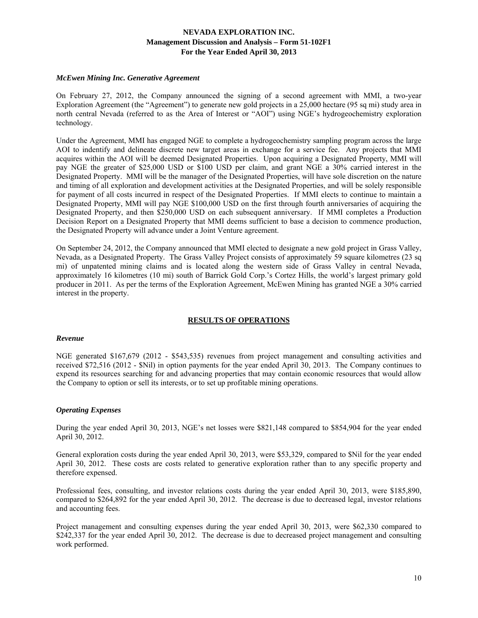#### *McEwen Mining Inc. Generative Agreement*

On February 27, 2012, the Company announced the signing of a second agreement with MMI, a two-year Exploration Agreement (the "Agreement") to generate new gold projects in a 25,000 hectare (95 sq mi) study area in north central Nevada (referred to as the Area of Interest or "AOI") using NGE's hydrogeochemistry exploration technology.

Under the Agreement, MMI has engaged NGE to complete a hydrogeochemistry sampling program across the large AOI to indentify and delineate discrete new target areas in exchange for a service fee. Any projects that MMI acquires within the AOI will be deemed Designated Properties. Upon acquiring a Designated Property, MMI will pay NGE the greater of \$25,000 USD or \$100 USD per claim, and grant NGE a 30% carried interest in the Designated Property. MMI will be the manager of the Designated Properties, will have sole discretion on the nature and timing of all exploration and development activities at the Designated Properties, and will be solely responsible for payment of all costs incurred in respect of the Designated Properties. If MMI elects to continue to maintain a Designated Property, MMI will pay NGE \$100,000 USD on the first through fourth anniversaries of acquiring the Designated Property, and then \$250,000 USD on each subsequent anniversary. If MMI completes a Production Decision Report on a Designated Property that MMI deems sufficient to base a decision to commence production, the Designated Property will advance under a Joint Venture agreement.

On September 24, 2012, the Company announced that MMI elected to designate a new gold project in Grass Valley, Nevada, as a Designated Property. The Grass Valley Project consists of approximately 59 square kilometres (23 sq mi) of unpatented mining claims and is located along the western side of Grass Valley in central Nevada, approximately 16 kilometres (10 mi) south of Barrick Gold Corp.'s Cortez Hills, the world's largest primary gold producer in 2011. As per the terms of the Exploration Agreement, McEwen Mining has granted NGE a 30% carried interest in the property.

# **RESULTS OF OPERATIONS**

#### *Revenue*

NGE generated \$167,679 (2012 - \$543,535) revenues from project management and consulting activities and received \$72,516 (2012 - \$Nil) in option payments for the year ended April 30, 2013. The Company continues to expend its resources searching for and advancing properties that may contain economic resources that would allow the Company to option or sell its interests, or to set up profitable mining operations.

# *Operating Expenses*

During the year ended April 30, 2013, NGE's net losses were \$821,148 compared to \$854,904 for the year ended April 30, 2012.

General exploration costs during the year ended April 30, 2013, were \$53,329, compared to \$Nil for the year ended April 30, 2012. These costs are costs related to generative exploration rather than to any specific property and therefore expensed.

Professional fees, consulting, and investor relations costs during the year ended April 30, 2013, were \$185,890, compared to \$264,892 for the year ended April 30, 2012. The decrease is due to decreased legal, investor relations and accounting fees.

Project management and consulting expenses during the year ended April 30, 2013, were \$62,330 compared to \$242,337 for the year ended April 30, 2012. The decrease is due to decreased project management and consulting work performed.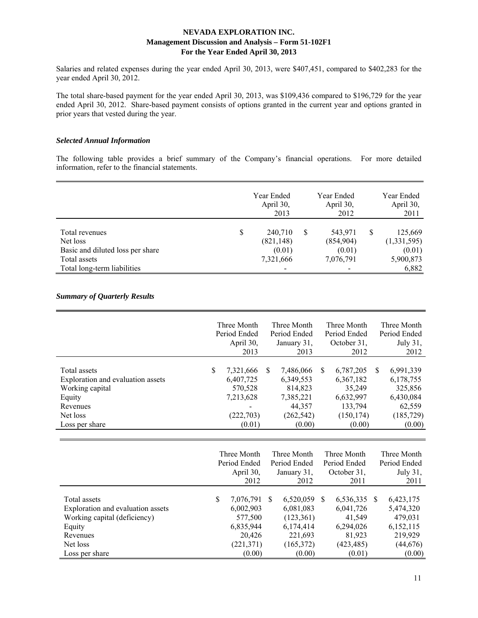Salaries and related expenses during the year ended April 30, 2013, were \$407,451, compared to \$402,283 for the year ended April 30, 2012.

The total share-based payment for the year ended April 30, 2013, was \$109,436 compared to \$196,729 for the year ended April 30, 2012. Share-based payment consists of options granted in the current year and options granted in prior years that vested during the year.

### *Selected Annual Information*

The following table provides a brief summary of the Company's financial operations. For more detailed information, refer to the financial statements.

|                                  | Year Ended<br>April 30,<br>2013 | Year Ended<br>April 30,<br>2012 |   | Year Ended<br>April 30,<br>2011 |
|----------------------------------|---------------------------------|---------------------------------|---|---------------------------------|
| Total revenues                   | \$<br>240,710                   | 543,971                         | S | 125,669                         |
| Net loss                         | (821, 148)                      | (854,904)                       |   | (1,331,595)                     |
| Basic and diluted loss per share | (0.01)                          | (0.01)                          |   | (0.01)                          |
| Total assets                     | 7,321,666                       | 7,076,791                       |   | 5,900,873                       |
| Total long-term liabilities      | $\overline{\phantom{a}}$        | -                               |   | 6,882                           |

# *Summary of Quarterly Results*

|                                                                                                                                       | Three Month<br>Period Ended<br>April 30,<br>2013                                       |               | Three Month<br>Period Ended<br>January 31,<br>2013                                  |               | Three Month<br>Period Ended<br>October 31,<br>2012                               |               | Three Month<br>Period Ended<br>July 31,<br>2012                                  |
|---------------------------------------------------------------------------------------------------------------------------------------|----------------------------------------------------------------------------------------|---------------|-------------------------------------------------------------------------------------|---------------|----------------------------------------------------------------------------------|---------------|----------------------------------------------------------------------------------|
| Total assets<br>Exploration and evaluation assets<br>Working capital<br>Equity<br>Revenues<br>Net loss<br>Loss per share              | \$<br>7,321,666<br>6,407,725<br>570,528<br>7,213,628<br>(222, 703)<br>(0.01)           | <sup>\$</sup> | 7,486,066<br>6,349,553<br>814,823<br>7,385,221<br>44,357<br>(262, 542)<br>(0.00)    | \$            | 6,787,205<br>6,367,182<br>35,249<br>6,632,997<br>133,794<br>(150, 174)<br>(0.00) | <sup>\$</sup> | 6,991,339<br>6,178,755<br>325,856<br>6,430,084<br>62,559<br>(185, 729)<br>(0.00) |
|                                                                                                                                       | Three Month<br>Period Ended<br>April 30,<br>2012                                       |               | Three Month<br>Period Ended<br>January 31,<br>2012                                  |               | Three Month<br>Period Ended<br>October 31,<br>2011                               |               | Three Month<br>Period Ended<br>July 31,<br>2011                                  |
| Total assets<br>Exploration and evaluation assets<br>Working capital (deficiency)<br>Equity<br>Revenues<br>Net loss<br>Loss per share | \$<br>7,076,791<br>6,002,903<br>577,500<br>6,835,944<br>20,426<br>(221, 371)<br>(0.00) | \$.           | 6,520,059<br>6,081,083<br>(123, 361)<br>6,174,414<br>221,693<br>(165,372)<br>(0.00) | <sup>\$</sup> | 6,536,335<br>6,041,726<br>41,549<br>6,294,026<br>81,923<br>(423, 485)<br>(0.01)  | <sup>\$</sup> | 6,423,175<br>5,474,320<br>479,031<br>6,152,115<br>219,929<br>(44, 676)<br>(0.00) |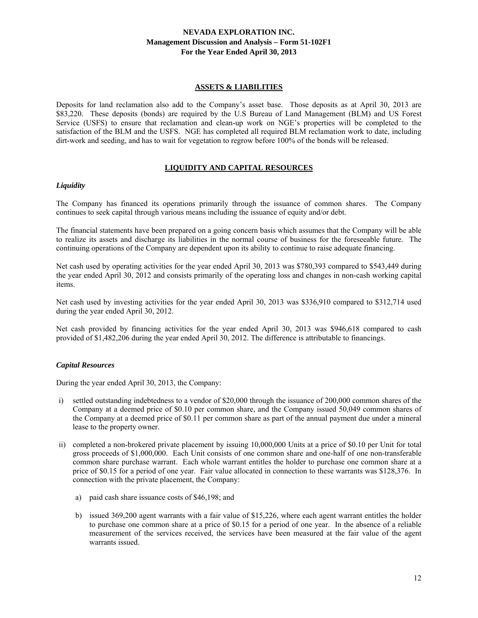# **ASSETS & LIABILITIES**

Deposits for land reclamation also add to the Company's asset base. Those deposits as at April 30, 2013 are \$83,220. These deposits (bonds) are required by the U.S Bureau of Land Management (BLM) and US Forest Service (USFS) to ensure that reclamation and clean-up work on NGE's properties will be completed to the satisfaction of the BLM and the USFS. NGE has completed all required BLM reclamation work to date, including dirt-work and seeding, and has to wait for vegetation to regrow before 100% of the bonds will be released.

# **LIQUIDITY AND CAPITAL RESOURCES**

### *Liquidity*

The Company has financed its operations primarily through the issuance of common shares. The Company continues to seek capital through various means including the issuance of equity and/or debt.

The financial statements have been prepared on a going concern basis which assumes that the Company will be able to realize its assets and discharge its liabilities in the normal course of business for the foreseeable future. The continuing operations of the Company are dependent upon its ability to continue to raise adequate financing.

Net cash used by operating activities for the year ended April 30, 2013 was \$780,393 compared to \$543,449 during the year ended April 30, 2012 and consists primarily of the operating loss and changes in non-cash working capital items.

Net cash used by investing activities for the year ended April 30, 2013 was \$336,910 compared to \$312,714 used during the year ended April 30, 2012.

Net cash provided by financing activities for the year ended April 30, 2013 was \$946,618 compared to cash provided of \$1,482,206 during the year ended April 30, 2012. The difference is attributable to financings.

# *Capital Resources*

During the year ended April 30, 2013, the Company:

- i) settled outstanding indebtedness to a vendor of \$20,000 through the issuance of 200,000 common shares of the Company at a deemed price of \$0.10 per common share, and the Company issued 50,049 common shares of the Company at a deemed price of \$0.11 per common share as part of the annual payment due under a mineral lease to the property owner.
- ii) completed a non-brokered private placement by issuing 10,000,000 Units at a price of \$0.10 per Unit for total gross proceeds of \$1,000,000. Each Unit consists of one common share and one-half of one non-transferable common share purchase warrant. Each whole warrant entitles the holder to purchase one common share at a price of \$0.15 for a period of one year. Fair value allocated in connection to these warrants was \$128,376. In connection with the private placement, the Company:
	- a) paid cash share issuance costs of \$46,198; and
	- b) issued 369,200 agent warrants with a fair value of \$15,226, where each agent warrant entitles the holder to purchase one common share at a price of \$0.15 for a period of one year. In the absence of a reliable measurement of the services received, the services have been measured at the fair value of the agent warrants issued.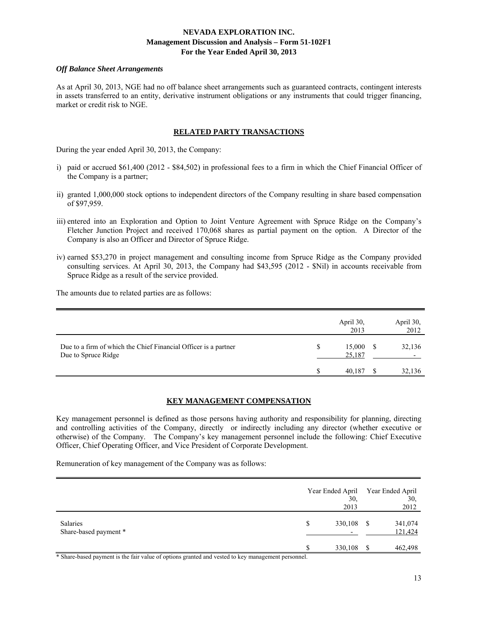### *Off Balance Sheet Arrangements*

As at April 30, 2013, NGE had no off balance sheet arrangements such as guaranteed contracts, contingent interests in assets transferred to an entity, derivative instrument obligations or any instruments that could trigger financing, market or credit risk to NGE.

### **RELATED PARTY TRANSACTIONS**

During the year ended April 30, 2013, the Company:

- i) paid or accrued \$61,400 (2012 \$84,502) in professional fees to a firm in which the Chief Financial Officer of the Company is a partner;
- ii) granted 1,000,000 stock options to independent directors of the Company resulting in share based compensation of \$97,959.
- iii) entered into an Exploration and Option to Joint Venture Agreement with Spruce Ridge on the Company's Fletcher Junction Project and received 170,068 shares as partial payment on the option. A Director of the Company is also an Officer and Director of Spruce Ridge.
- iv) earned \$53,270 in project management and consulting income from Spruce Ridge as the Company provided consulting services. At April 30, 2013, the Company had \$43,595 (2012 - \$Nil) in accounts receivable from Spruce Ridge as a result of the service provided.

The amounts due to related parties are as follows:

|                                                                                        |   | April 30,<br>2013 | April 30,<br>2012 |
|----------------------------------------------------------------------------------------|---|-------------------|-------------------|
| Due to a firm of which the Chief Financial Officer is a partner<br>Due to Spruce Ridge | S | 15,000<br>25,187  | 32,136            |
|                                                                                        |   | 40.187            | 32,136            |

# **KEY MANAGEMENT COMPENSATION**

Key management personnel is defined as those persons having authority and responsibility for planning, directing and controlling activities of the Company, directly or indirectly including any director (whether executive or otherwise) of the Company. The Company's key management personnel include the following: Chief Executive Officer, Chief Operating Officer, and Vice President of Corporate Development.

Remuneration of key management of the Company was as follows:

|                                   | Year Ended April<br>30,<br>2013 |      | Year Ended April<br>30,<br>2012 |
|-----------------------------------|---------------------------------|------|---------------------------------|
| Salaries<br>Share-based payment * | \$<br>330,108                   | - \$ | 341,074<br>121,424              |
|                                   | 330,108                         | -S   | 462,498                         |

\* Share-based payment is the fair value of options granted and vested to key management personnel.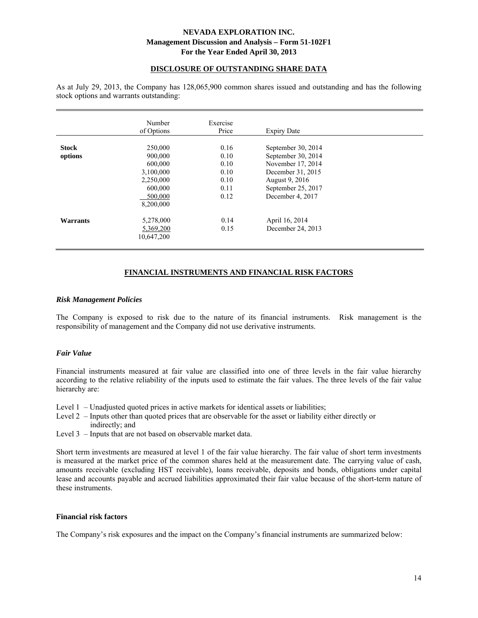# **DISCLOSURE OF OUTSTANDING SHARE DATA**

As at July 29, 2013, the Company has 128,065,900 common shares issued and outstanding and has the following stock options and warrants outstanding:

|              | Number<br>of Options | Exercise<br>Price | <b>Expiry Date</b> |  |
|--------------|----------------------|-------------------|--------------------|--|
| <b>Stock</b> | 250,000              | 0.16              | September 30, 2014 |  |
| options      | 900,000              | 0.10              | September 30, 2014 |  |
|              | 600,000              | 0.10              | November 17, 2014  |  |
|              | 3,100,000            | 0.10              | December 31, 2015  |  |
|              | 2,250,000            | 0.10              | August 9, 2016     |  |
|              | 600,000              | 0.11              | September 25, 2017 |  |
|              | 500,000              | 0.12              | December 4, 2017   |  |
|              | 8,200,000            |                   |                    |  |
| Warrants     | 5,278,000            | 0.14              | April 16, 2014     |  |
|              | 5,369,200            | 0.15              | December 24, 2013  |  |
|              | 10,647,200           |                   |                    |  |

# **FINANCIAL INSTRUMENTS AND FINANCIAL RISK FACTORS**

#### *Risk Management Policies*

The Company is exposed to risk due to the nature of its financial instruments. Risk management is the responsibility of management and the Company did not use derivative instruments.

#### *Fair Value*

Financial instruments measured at fair value are classified into one of three levels in the fair value hierarchy according to the relative reliability of the inputs used to estimate the fair values. The three levels of the fair value hierarchy are:

Level 1 – Unadjusted quoted prices in active markets for identical assets or liabilities;

- Level 2 Inputs other than quoted prices that are observable for the asset or liability either directly or
	- indirectly; and
- Level 3 Inputs that are not based on observable market data.

Short term investments are measured at level 1 of the fair value hierarchy. The fair value of short term investments is measured at the market price of the common shares held at the measurement date. The carrying value of cash, amounts receivable (excluding HST receivable), loans receivable, deposits and bonds, obligations under capital lease and accounts payable and accrued liabilities approximated their fair value because of the short-term nature of these instruments.

#### **Financial risk factors**

The Company's risk exposures and the impact on the Company's financial instruments are summarized below: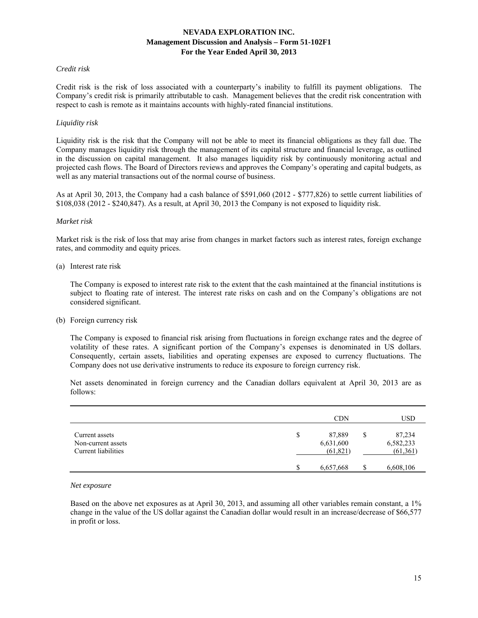### *Credit risk*

Credit risk is the risk of loss associated with a counterparty's inability to fulfill its payment obligations. The Company's credit risk is primarily attributable to cash. Management believes that the credit risk concentration with respect to cash is remote as it maintains accounts with highly-rated financial institutions.

### *Liquidity risk*

Liquidity risk is the risk that the Company will not be able to meet its financial obligations as they fall due. The Company manages liquidity risk through the management of its capital structure and financial leverage, as outlined in the discussion on capital management. It also manages liquidity risk by continuously monitoring actual and projected cash flows. The Board of Directors reviews and approves the Company's operating and capital budgets, as well as any material transactions out of the normal course of business.

As at April 30, 2013, the Company had a cash balance of \$591,060 (2012 - \$777,826) to settle current liabilities of \$108,038 (2012 - \$240,847). As a result, at April 30, 2013 the Company is not exposed to liquidity risk.

#### *Market risk*

Market risk is the risk of loss that may arise from changes in market factors such as interest rates, foreign exchange rates, and commodity and equity prices.

#### (a) Interest rate risk

 The Company is exposed to interest rate risk to the extent that the cash maintained at the financial institutions is subject to floating rate of interest. The interest rate risks on cash and on the Company's obligations are not considered significant.

#### (b) Foreign currency risk

 The Company is exposed to financial risk arising from fluctuations in foreign exchange rates and the degree of volatility of these rates. A significant portion of the Company's expenses is denominated in US dollars. Consequently, certain assets, liabilities and operating expenses are exposed to currency fluctuations. The Company does not use derivative instruments to reduce its exposure to foreign currency risk.

 Net assets denominated in foreign currency and the Canadian dollars equivalent at April 30, 2013 are as follows:

|                                                             |    | <b>CDN</b>                       | USD                                   |
|-------------------------------------------------------------|----|----------------------------------|---------------------------------------|
| Current assets<br>Non-current assets<br>Current liabilities | \$ | 87,889<br>6,631,600<br>(61, 821) | \$<br>87,234<br>6,582,233<br>(61,361) |
|                                                             | S  | 6,657,668                        | \$<br>6,608,106                       |

#### *Net exposure*

Based on the above net exposures as at April 30, 2013, and assuming all other variables remain constant, a 1% change in the value of the US dollar against the Canadian dollar would result in an increase/decrease of \$66,577 in profit or loss.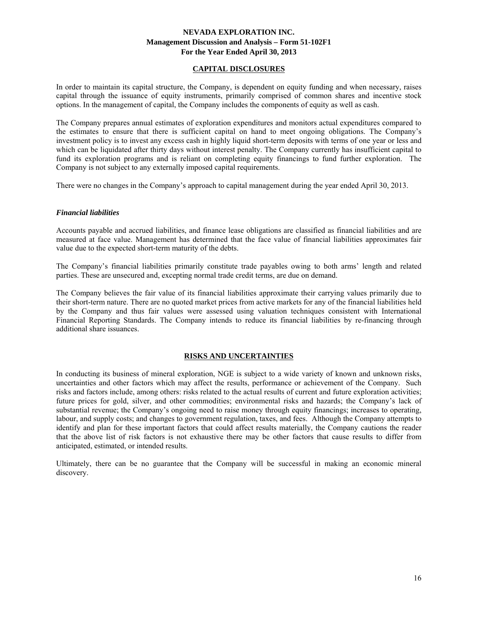# **CAPITAL DISCLOSURES**

In order to maintain its capital structure, the Company, is dependent on equity funding and when necessary, raises capital through the issuance of equity instruments, primarily comprised of common shares and incentive stock options. In the management of capital, the Company includes the components of equity as well as cash.

The Company prepares annual estimates of exploration expenditures and monitors actual expenditures compared to the estimates to ensure that there is sufficient capital on hand to meet ongoing obligations. The Company's investment policy is to invest any excess cash in highly liquid short-term deposits with terms of one year or less and which can be liquidated after thirty days without interest penalty. The Company currently has insufficient capital to fund its exploration programs and is reliant on completing equity financings to fund further exploration. The Company is not subject to any externally imposed capital requirements.

There were no changes in the Company's approach to capital management during the year ended April 30, 2013.

### *Financial liabilities*

Accounts payable and accrued liabilities, and finance lease obligations are classified as financial liabilities and are measured at face value. Management has determined that the face value of financial liabilities approximates fair value due to the expected short-term maturity of the debts.

The Company's financial liabilities primarily constitute trade payables owing to both arms' length and related parties. These are unsecured and, excepting normal trade credit terms, are due on demand.

The Company believes the fair value of its financial liabilities approximate their carrying values primarily due to their short-term nature. There are no quoted market prices from active markets for any of the financial liabilities held by the Company and thus fair values were assessed using valuation techniques consistent with International Financial Reporting Standards. The Company intends to reduce its financial liabilities by re-financing through additional share issuances.

# **RISKS AND UNCERTAINTIES**

In conducting its business of mineral exploration, NGE is subject to a wide variety of known and unknown risks, uncertainties and other factors which may affect the results, performance or achievement of the Company. Such risks and factors include, among others: risks related to the actual results of current and future exploration activities; future prices for gold, silver, and other commodities; environmental risks and hazards; the Company's lack of substantial revenue; the Company's ongoing need to raise money through equity financings; increases to operating, labour, and supply costs; and changes to government regulation, taxes, and fees. Although the Company attempts to identify and plan for these important factors that could affect results materially, the Company cautions the reader that the above list of risk factors is not exhaustive there may be other factors that cause results to differ from anticipated, estimated, or intended results.

Ultimately, there can be no guarantee that the Company will be successful in making an economic mineral discovery.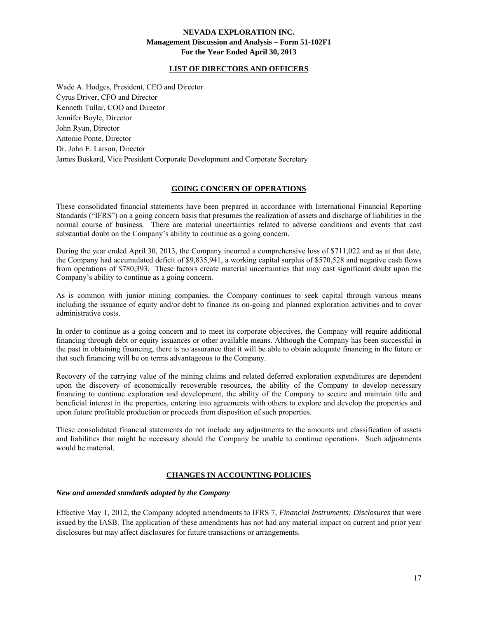# **LIST OF DIRECTORS AND OFFICERS**

Wade A. Hodges, President, CEO and Director Cyrus Driver, CFO and Director Kenneth Tullar, COO and Director Jennifer Boyle, Director John Ryan, Director Antonio Ponte, Director Dr. John E. Larson, Director James Buskard, Vice President Corporate Development and Corporate Secretary

# **GOING CONCERN OF OPERATIONS**

These consolidated financial statements have been prepared in accordance with International Financial Reporting Standards ("IFRS") on a going concern basis that presumes the realization of assets and discharge of liabilities in the normal course of business. There are material uncertainties related to adverse conditions and events that cast substantial doubt on the Company's ability to continue as a going concern.

During the year ended April 30, 2013, the Company incurred a comprehensive loss of \$711,022 and as at that date, the Company had accumulated deficit of \$9,835,941, a working capital surplus of \$570,528 and negative cash flows from operations of \$780,393. These factors create material uncertainties that may cast significant doubt upon the Company's ability to continue as a going concern.

As is common with junior mining companies, the Company continues to seek capital through various means including the issuance of equity and/or debt to finance its on-going and planned exploration activities and to cover administrative costs.

In order to continue as a going concern and to meet its corporate objectives, the Company will require additional financing through debt or equity issuances or other available means. Although the Company has been successful in the past in obtaining financing, there is no assurance that it will be able to obtain adequate financing in the future or that such financing will be on terms advantageous to the Company.

Recovery of the carrying value of the mining claims and related deferred exploration expenditures are dependent upon the discovery of economically recoverable resources, the ability of the Company to develop necessary financing to continue exploration and development, the ability of the Company to secure and maintain title and beneficial interest in the properties, entering into agreements with others to explore and develop the properties and upon future profitable production or proceeds from disposition of such properties.

These consolidated financial statements do not include any adjustments to the amounts and classification of assets and liabilities that might be necessary should the Company be unable to continue operations. Such adjustments would be material.

# **CHANGES IN ACCOUNTING POLICIES**

# *New and amended standards adopted by the Company*

Effective May 1, 2012, the Company adopted amendments to IFRS 7, *Financial Instruments: Disclosures* that were issued by the IASB. The application of these amendments has not had any material impact on current and prior year disclosures but may affect disclosures for future transactions or arrangements.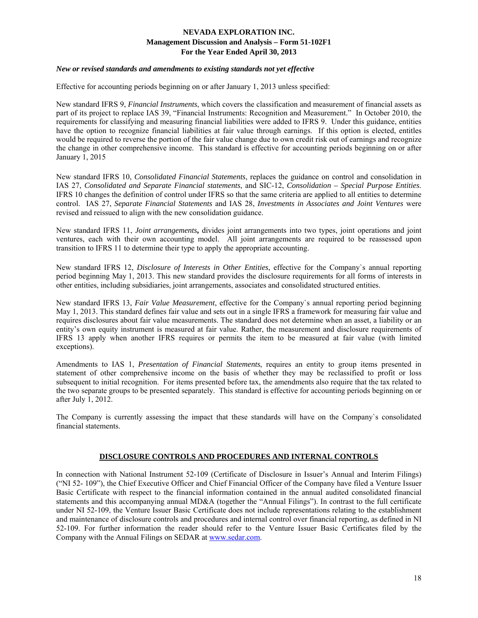# *New or revised standards and amendments to existing standards not yet effective*

Effective for accounting periods beginning on or after January 1, 2013 unless specified:

New standard IFRS 9, *Financial Instruments*, which covers the classification and measurement of financial assets as part of its project to replace IAS 39, "Financial Instruments: Recognition and Measurement." In October 2010, the requirements for classifying and measuring financial liabilities were added to IFRS 9. Under this guidance, entities have the option to recognize financial liabilities at fair value through earnings. If this option is elected, entitles would be required to reverse the portion of the fair value change due to own credit risk out of earnings and recognize the change in other comprehensive income. This standard is effective for accounting periods beginning on or after January 1, 2015

New standard IFRS 10, *Consolidated Financial Statements*, replaces the guidance on control and consolidation in IAS 27, *Consolidated and Separate Financial statements*, and SIC-12, *Consolidation – Special Purpose Entities*. IFRS 10 changes the definition of control under IFRS so that the same criteria are applied to all entities to determine control. IAS 27, *Separate Financial Statements* and IAS 28, *Investments in Associates and Joint Ventures* were revised and reissued to align with the new consolidation guidance.

New standard IFRS 11, *Joint arrangements***,** divides joint arrangements into two types, joint operations and joint ventures, each with their own accounting model. All joint arrangements are required to be reassessed upon transition to IFRS 11 to determine their type to apply the appropriate accounting.

New standard IFRS 12, *Disclosure of Interests in Other Entities*, effective for the Company`s annual reporting period beginning May 1, 2013. This new standard provides the disclosure requirements for all forms of interests in other entities, including subsidiaries, joint arrangements, associates and consolidated structured entities.

New standard IFRS 13, *Fair Value Measurement*, effective for the Company`s annual reporting period beginning May 1, 2013. This standard defines fair value and sets out in a single IFRS a framework for measuring fair value and requires disclosures about fair value measurements. The standard does not determine when an asset, a liability or an entity's own equity instrument is measured at fair value. Rather, the measurement and disclosure requirements of IFRS 13 apply when another IFRS requires or permits the item to be measured at fair value (with limited exceptions).

Amendments to IAS 1, *Presentation of Financial Statements*, requires an entity to group items presented in statement of other comprehensive income on the basis of whether they may be reclassified to profit or loss subsequent to initial recognition. For items presented before tax, the amendments also require that the tax related to the two separate groups to be presented separately. This standard is effective for accounting periods beginning on or after July 1, 2012.

The Company is currently assessing the impact that these standards will have on the Company`s consolidated financial statements.

# **DISCLOSURE CONTROLS AND PROCEDURES AND INTERNAL CONTROLS**

In connection with National Instrument 52-109 (Certificate of Disclosure in Issuer's Annual and Interim Filings) ("NI 52- 109"), the Chief Executive Officer and Chief Financial Officer of the Company have filed a Venture Issuer Basic Certificate with respect to the financial information contained in the annual audited consolidated financial statements and this accompanying annual MD&A (together the "Annual Filings"). In contrast to the full certificate under NI 52-109, the Venture Issuer Basic Certificate does not include representations relating to the establishment and maintenance of disclosure controls and procedures and internal control over financial reporting, as defined in NI 52-109. For further information the reader should refer to the Venture Issuer Basic Certificates filed by the Company with the Annual Filings on SEDAR at www.sedar.com.